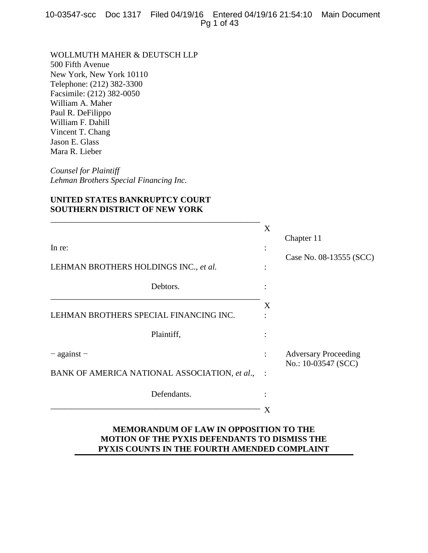WOLLMUTH MAHER & DEUTSCH LLP 500 Fifth Avenue New York, New York 10110 Telephone: (212) 382-3300 Facsimile: (212) 382-0050 William A. Maher Paul R. DeFilippo William F. Dahill Vincent T. Chang Jason E. Glass Mara R. Lieber

*Counsel for Plaintiff Lehman Brothers Special Financing Inc.*

# **UNITED STATES BANKRUPTCY COURT SOUTHERN DISTRICT OF NEW YORK**

\_\_\_\_\_\_\_\_\_\_\_\_\_\_\_\_\_\_\_\_\_\_\_\_\_\_\_\_\_\_\_\_\_\_\_\_\_\_\_\_\_\_\_\_\_\_\_\_\_\_

|                                               | X              |                                                    |
|-----------------------------------------------|----------------|----------------------------------------------------|
| In re:                                        | $\ddot{\cdot}$ | Chapter 11                                         |
| LEHMAN BROTHERS HOLDINGS INC., et al.         |                | Case No. 08-13555 (SCC)                            |
| Debtors.                                      |                |                                                    |
| LEHMAN BROTHERS SPECIAL FINANCING INC.        | X              |                                                    |
| Plaintiff,                                    |                |                                                    |
| $-$ against $-$                               | $\ddot{\cdot}$ | <b>Adversary Proceeding</b><br>No.: 10-03547 (SCC) |
| BANK OF AMERICA NATIONAL ASSOCIATION, et al., |                |                                                    |
| Defendants.                                   |                |                                                    |
|                                               | X              |                                                    |

# **MEMORANDUM OF LAW IN OPPOSITION TO THE MOTION OF THE PYXIS DEFENDANTS TO DISMISS THE PYXIS COUNTS IN THE FOURTH AMENDED COMPLAINT**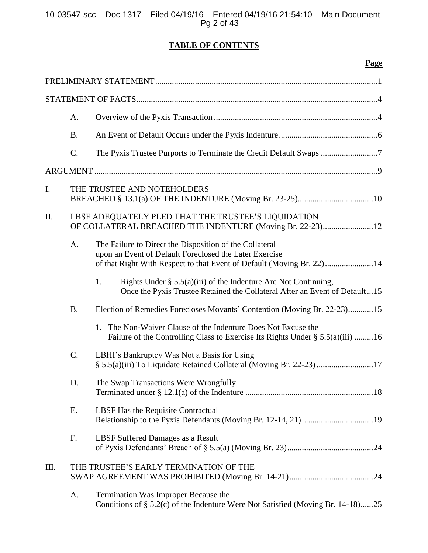# **TABLE OF CONTENTS**

# **Page**

|     | A.        |                                                                                                                                                                                            |
|-----|-----------|--------------------------------------------------------------------------------------------------------------------------------------------------------------------------------------------|
|     | <b>B.</b> |                                                                                                                                                                                            |
|     | C.        | The Pyxis Trustee Purports to Terminate the Credit Default Swaps 7                                                                                                                         |
|     |           |                                                                                                                                                                                            |
| I.  |           | THE TRUSTEE AND NOTEHOLDERS                                                                                                                                                                |
| II. |           | LBSF ADEQUATELY PLED THAT THE TRUSTEE'S LIQUIDATION<br>OF COLLATERAL BREACHED THE INDENTURE (Moving Br. 22-23)12                                                                           |
|     | A.        | The Failure to Direct the Disposition of the Collateral<br>upon an Event of Default Foreclosed the Later Exercise<br>of that Right With Respect to that Event of Default (Moving Br. 22)14 |
|     |           | Rights Under $\S$ 5.5(a)(iii) of the Indenture Are Not Continuing,<br>1.<br>Once the Pyxis Trustee Retained the Collateral After an Event of Default15                                     |
|     | <b>B.</b> | Election of Remedies Forecloses Movants' Contention (Moving Br. 22-23)15                                                                                                                   |
|     |           | 1. The Non-Waiver Clause of the Indenture Does Not Excuse the<br>Failure of the Controlling Class to Exercise Its Rights Under § 5.5(a)(iii) 16                                            |
|     | C.        | LBHI's Bankruptcy Was Not a Basis for Using<br>§ 5.5(a)(iii) To Liquidate Retained Collateral (Moving Br. 22-23) 17                                                                        |
|     | D.        | The Swap Transactions Were Wrongfully                                                                                                                                                      |
|     | Ε.        | LBSF Has the Requisite Contractual<br>Relationship to the Pyxis Defendants (Moving Br. 12-14, 21)19                                                                                        |
|     | F.        | LBSF Suffered Damages as a Result                                                                                                                                                          |
| Ш.  |           | THE TRUSTEE'S EARLY TERMINATION OF THE                                                                                                                                                     |
|     | A.        | Termination Was Improper Because the<br>Conditions of $\S$ 5.2(c) of the Indenture Were Not Satisfied (Moving Br. 14-18)25                                                                 |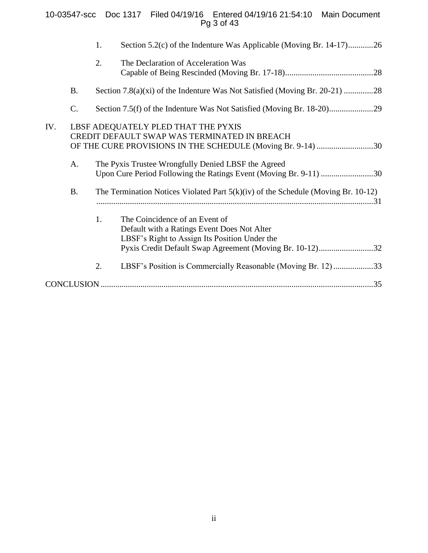# 10-03547-scc Doc 1317 Filed 04/19/16 Entered 04/19/16 21:54:10 Main Document Pg 3 of 43

|     |           | 1. | Section 5.2(c) of the Indenture Was Applicable (Moving Br. 14-17)26                                                                                                                        |
|-----|-----------|----|--------------------------------------------------------------------------------------------------------------------------------------------------------------------------------------------|
|     |           | 2. | The Declaration of Acceleration Was                                                                                                                                                        |
|     | <b>B.</b> |    |                                                                                                                                                                                            |
|     | C.        |    |                                                                                                                                                                                            |
| IV. |           |    | LBSF ADEQUATELY PLED THAT THE PYXIS<br>CREDIT DEFAULT SWAP WAS TERMINATED IN BREACH<br>OF THE CURE PROVISIONS IN THE SCHEDULE (Moving Br. 9-14) 30                                         |
|     | A.        |    | The Pyxis Trustee Wrongfully Denied LBSF the Agreed<br>Upon Cure Period Following the Ratings Event (Moving Br. 9-11) 30                                                                   |
|     | <b>B.</b> |    | The Termination Notices Violated Part $5(k)(iv)$ of the Schedule (Moving Br. 10-12)                                                                                                        |
|     |           | 1. | The Coincidence of an Event of<br>Default with a Ratings Event Does Not Alter<br>LBSF's Right to Assign Its Position Under the<br>Pyxis Credit Default Swap Agreement (Moving Br. 10-12)32 |
|     |           | 2. | LBSF's Position is Commercially Reasonable (Moving Br. 12)33                                                                                                                               |
|     |           |    |                                                                                                                                                                                            |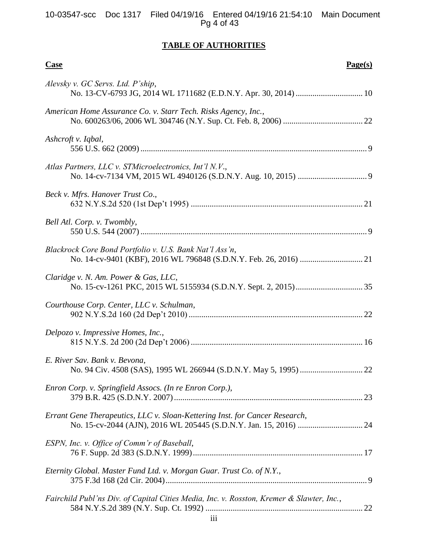# **TABLE OF AUTHORITIES**

| <b>Case</b><br>Page(s)                                                                   |
|------------------------------------------------------------------------------------------|
| Alevsky v. GC Servs. Ltd. P'ship,                                                        |
| American Home Assurance Co. v. Starr Tech. Risks Agency, Inc.,                           |
| Ashcroft v. Iqbal,                                                                       |
| Atlas Partners, LLC v. STMicroelectronics, Int'l N.V.,                                   |
| Beck v. Mfrs. Hanover Trust Co.,                                                         |
| Bell Atl. Corp. v. Twombly,                                                              |
| Blackrock Core Bond Portfolio v. U.S. Bank Nat'l Ass'n,                                  |
| Claridge v. N. Am. Power & Gas, LLC,                                                     |
| Courthouse Corp. Center, LLC v. Schulman,                                                |
| Delpozo v. Impressive Homes, Inc.,                                                       |
| E. River Sav. Bank v. Bevona,                                                            |
| Enron Corp. v. Springfield Assocs. (In re Enron Corp.),                                  |
| Errant Gene Therapeutics, LLC v. Sloan-Kettering Inst. for Cancer Research,              |
| ESPN, Inc. v. Office of Comm'r of Baseball,                                              |
| Eternity Global. Master Fund Ltd. v. Morgan Guar. Trust Co. of N.Y.,                     |
| Fairchild Publ'ns Div. of Capital Cities Media, Inc. v. Rosston, Kremer & Slawter, Inc., |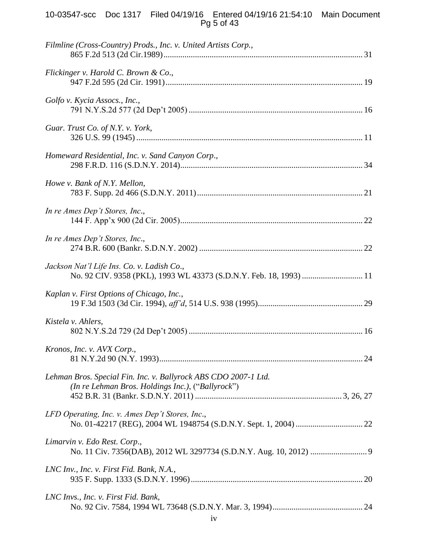# 10-03547-scc Doc 1317 Filed 04/19/16 Entered 04/19/16 21:54:10 Main Document Pg 5 of 43

| Filmline (Cross-Country) Prods., Inc. v. United Artists Corp.,                                                       |
|----------------------------------------------------------------------------------------------------------------------|
| Flickinger v. Harold C. Brown & Co.,                                                                                 |
| Golfo v. Kycia Assocs., Inc.,                                                                                        |
| Guar. Trust Co. of N.Y. v. York,                                                                                     |
| Homeward Residential, Inc. v. Sand Canyon Corp.,                                                                     |
| Howe v. Bank of N.Y. Mellon,                                                                                         |
| In re Ames Dep't Stores, Inc.,                                                                                       |
| In re Ames Dep't Stores, Inc.,                                                                                       |
| Jackson Nat'l Life Ins. Co. v. Ladish Co.,<br>No. 92 CIV. 9358 (PKL), 1993 WL 43373 (S.D.N.Y. Feb. 18, 1993)  11     |
| Kaplan v. First Options of Chicago, Inc.,                                                                            |
| Kistela v. Ahlers,                                                                                                   |
| Kronos, Inc. v. AVX Corp.,                                                                                           |
| Lehman Bros. Special Fin. Inc. v. Ballyrock ABS CDO 2007-1 Ltd.<br>(In re Lehman Bros. Holdings Inc.), ("Ballyrock") |
| LFD Operating, Inc. v. Ames Dep't Stores, Inc.,                                                                      |
| Limarvin v. Edo Rest. Corp.,                                                                                         |
| LNC Inv., Inc. v. First Fid. Bank, N.A.,                                                                             |
| LNC Invs., Inc. v. First Fid. Bank,                                                                                  |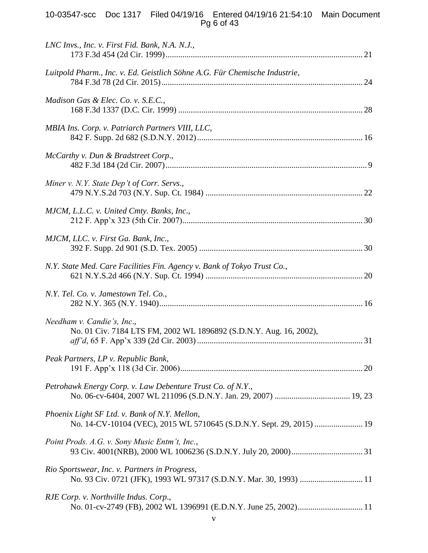# 10-03547-scc Doc 1317 Filed 04/19/16 Entered 04/19/16 21:54:10 Main Document Pg 6 of 43

| LNC Invs., Inc. v. First Fid. Bank, N.A. N.J.,                                                                        |
|-----------------------------------------------------------------------------------------------------------------------|
| Luitpold Pharm., Inc. v. Ed. Geistlich Söhne A.G. Für Chemische Industrie,                                            |
| Madison Gas & Elec. Co. v. S.E.C.,                                                                                    |
| MBIA Ins. Corp. v. Patriarch Partners VIII, LLC,                                                                      |
| McCarthy v. Dun & Bradstreet Corp.,                                                                                   |
| Miner v. N.Y. State Dep't of Corr. Servs.,                                                                            |
| MJCM, L.L.C. v. United Cmty. Banks, Inc.,                                                                             |
| MJCM, LLC. v. First Ga. Bank, Inc.,                                                                                   |
| N.Y. State Med. Care Facilities Fin. Agency v. Bank of Tokyo Trust Co.,                                               |
| N.Y. Tel. Co. v. Jamestown Tel. Co.,                                                                                  |
| Needham v. Candie's, Inc.,<br>No. 01 Civ. 7184 LTS FM, 2002 WL 1896892 (S.D.N.Y. Aug. 16, 2002),                      |
| Peak Partners, LP v. Republic Bank,                                                                                   |
| Petrohawk Energy Corp. v. Law Debenture Trust Co. of N.Y.,                                                            |
| Phoenix Light SF Ltd. v. Bank of N.Y. Mellon,<br>No. 14-CV-10104 (VEC), 2015 WL 5710645 (S.D.N.Y. Sept. 29, 2015)  19 |
| Point Prods. A.G. v. Sony Music Entm't, Inc.,                                                                         |
| Rio Sportswear, Inc. v. Partners in Progress,<br>No. 93 Civ. 0721 (JFK), 1993 WL 97317 (S.D.N.Y. Mar. 30, 1993)  11   |
| RJE Corp. v. Northville Indus. Corp.,                                                                                 |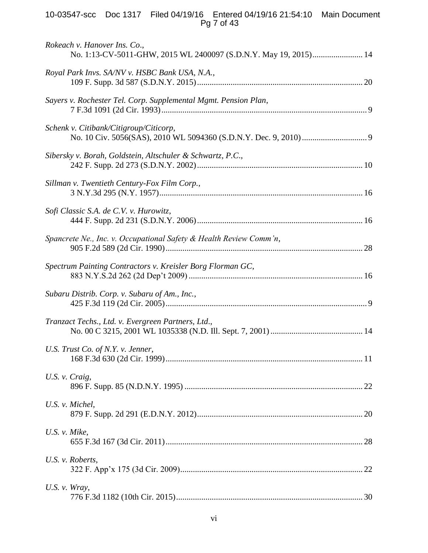# 10-03547-scc Doc 1317 Filed 04/19/16 Entered 04/19/16 21:54:10 Main Document Pg 7 of 43

| Rokeach v. Hanover Ins. Co.,<br>No. 1:13-CV-5011-GHW, 2015 WL 2400097 (S.D.N.Y. May 19, 2015) 14 |  |
|--------------------------------------------------------------------------------------------------|--|
| Royal Park Invs. SA/NV v. HSBC Bank USA, N.A.,                                                   |  |
| Sayers v. Rochester Tel. Corp. Supplemental Mgmt. Pension Plan,                                  |  |
| Schenk v. Citibank/Citigroup/Citicorp,                                                           |  |
| Sibersky v. Borah, Goldstein, Altschuler & Schwartz, P.C.,                                       |  |
| Sillman v. Twentieth Century-Fox Film Corp.,                                                     |  |
| Sofi Classic S.A. de C.V. v. Hurowitz,                                                           |  |
| Spancrete Ne., Inc. v. Occupational Safety & Health Review Comm'n,                               |  |
| Spectrum Painting Contractors v. Kreisler Borg Florman GC,                                       |  |
| Subaru Distrib. Corp. v. Subaru of Am., Inc.,                                                    |  |
| Tranzact Techs., Ltd. v. Evergreen Partners, Ltd.,                                               |  |
| U.S. Trust Co. of N.Y. v. Jenner,                                                                |  |
| U.S. v. Craig,                                                                                   |  |
| U.S. v. Michel,                                                                                  |  |
| U.S. $v$ . Mike,                                                                                 |  |
| U.S. v. Roberts,                                                                                 |  |
| U.S. $v$ . Wray,                                                                                 |  |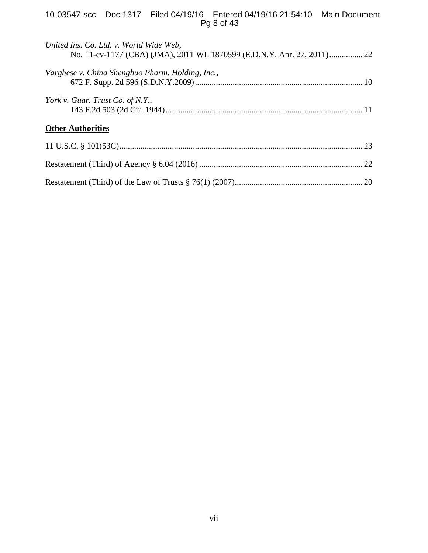# 10-03547-scc Doc 1317 Filed 04/19/16 Entered 04/19/16 21:54:10 Main Document Pg 8 of 43

| United Ins. Co. Ltd. v. World Wide Web,<br>No. 11-cv-1177 (CBA) (JMA), 2011 WL 1870599 (E.D.N.Y. Apr. 27, 2011) 22 |  |
|--------------------------------------------------------------------------------------------------------------------|--|
| Varghese v. China Shenghuo Pharm. Holding, Inc.,                                                                   |  |
| York v. Guar. Trust Co. of N.Y.,                                                                                   |  |
| <b>Other Authorities</b>                                                                                           |  |
|                                                                                                                    |  |
|                                                                                                                    |  |
|                                                                                                                    |  |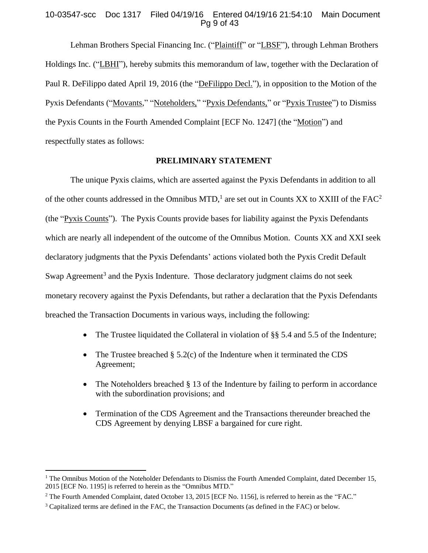# 10-03547-scc Doc 1317 Filed 04/19/16 Entered 04/19/16 21:54:10 Main Document Pg 9 of 43

Lehman Brothers Special Financing Inc. ("Plaintiff" or "LBSF"), through Lehman Brothers Holdings Inc. ("LBHI"), hereby submits this memorandum of law, together with the Declaration of Paul R. DeFilippo dated April 19, 2016 (the "DeFilippo Decl."), in opposition to the Motion of the Pyxis Defendants ("Movants," "Noteholders," "Pyxis Defendants," or "Pyxis Trustee") to Dismiss the Pyxis Counts in the Fourth Amended Complaint [ECF No. 1247] (the "Motion") and respectfully states as follows:

### **PRELIMINARY STATEMENT**

The unique Pyxis claims, which are asserted against the Pyxis Defendants in addition to all of the other counts addressed in the Omnibus MTD,<sup>1</sup> are set out in Counts XX to XXIII of the FAC<sup>2</sup> (the "Pyxis Counts"). The Pyxis Counts provide bases for liability against the Pyxis Defendants which are nearly all independent of the outcome of the Omnibus Motion. Counts XX and XXI seek declaratory judgments that the Pyxis Defendants' actions violated both the Pyxis Credit Default Swap Agreement<sup>3</sup> and the Pyxis Indenture. Those declaratory judgment claims do not seek monetary recovery against the Pyxis Defendants, but rather a declaration that the Pyxis Defendants breached the Transaction Documents in various ways, including the following:

- The Trustee liquidated the Collateral in violation of §§ 5.4 and 5.5 of the Indenture;
- The Trustee breached § 5.2(c) of the Indenture when it terminated the CDS Agreement;
- The Noteholders breached § 13 of the Indenture by failing to perform in accordance with the subordination provisions; and
- Termination of the CDS Agreement and the Transactions thereunder breached the CDS Agreement by denying LBSF a bargained for cure right.

<sup>&</sup>lt;sup>1</sup> The Omnibus Motion of the Noteholder Defendants to Dismiss the Fourth Amended Complaint, dated December 15, 2015 [ECF No. 1195] is referred to herein as the "Omnibus MTD."

<sup>&</sup>lt;sup>2</sup> The Fourth Amended Complaint, dated October 13, 2015 [ECF No. 1156], is referred to herein as the "FAC."

<sup>3</sup> Capitalized terms are defined in the FAC, the Transaction Documents (as defined in the FAC) or below.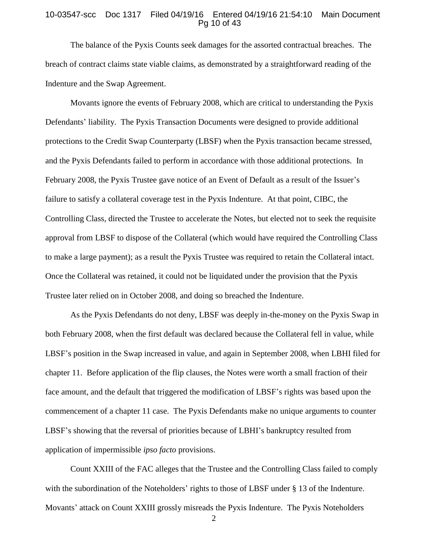#### 10-03547-scc Doc 1317 Filed 04/19/16 Entered 04/19/16 21:54:10 Main Document Pg 10 of 43

The balance of the Pyxis Counts seek damages for the assorted contractual breaches. The breach of contract claims state viable claims, as demonstrated by a straightforward reading of the Indenture and the Swap Agreement.

Movants ignore the events of February 2008, which are critical to understanding the Pyxis Defendants' liability. The Pyxis Transaction Documents were designed to provide additional protections to the Credit Swap Counterparty (LBSF) when the Pyxis transaction became stressed, and the Pyxis Defendants failed to perform in accordance with those additional protections. In February 2008, the Pyxis Trustee gave notice of an Event of Default as a result of the Issuer's failure to satisfy a collateral coverage test in the Pyxis Indenture. At that point, CIBC, the Controlling Class, directed the Trustee to accelerate the Notes, but elected not to seek the requisite approval from LBSF to dispose of the Collateral (which would have required the Controlling Class to make a large payment); as a result the Pyxis Trustee was required to retain the Collateral intact. Once the Collateral was retained, it could not be liquidated under the provision that the Pyxis Trustee later relied on in October 2008, and doing so breached the Indenture.

As the Pyxis Defendants do not deny, LBSF was deeply in-the-money on the Pyxis Swap in both February 2008, when the first default was declared because the Collateral fell in value, while LBSF's position in the Swap increased in value, and again in September 2008, when LBHI filed for chapter 11. Before application of the flip clauses, the Notes were worth a small fraction of their face amount, and the default that triggered the modification of LBSF's rights was based upon the commencement of a chapter 11 case. The Pyxis Defendants make no unique arguments to counter LBSF's showing that the reversal of priorities because of LBHI's bankruptcy resulted from application of impermissible *ipso facto* provisions.

Count XXIII of the FAC alleges that the Trustee and the Controlling Class failed to comply with the subordination of the Noteholders' rights to those of LBSF under § 13 of the Indenture. Movants' attack on Count XXIII grossly misreads the Pyxis Indenture. The Pyxis Noteholders

 $\mathfrak{D}$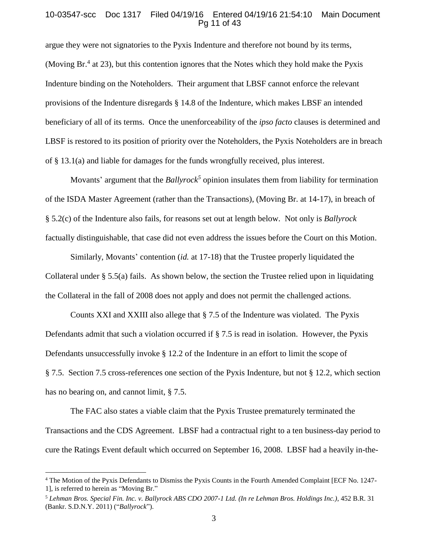### 10-03547-scc Doc 1317 Filed 04/19/16 Entered 04/19/16 21:54:10 Main Document Pg 11 of 43

argue they were not signatories to the Pyxis Indenture and therefore not bound by its terms, (Moving Br.<sup>4</sup> at 23), but this contention ignores that the Notes which they hold make the Pyxis Indenture binding on the Noteholders. Their argument that LBSF cannot enforce the relevant provisions of the Indenture disregards § 14.8 of the Indenture, which makes LBSF an intended beneficiary of all of its terms. Once the unenforceability of the *ipso facto* clauses is determined and LBSF is restored to its position of priority over the Noteholders, the Pyxis Noteholders are in breach of § 13.1(a) and liable for damages for the funds wrongfully received, plus interest.

Movants' argument that the *Ballyrock<sup>5</sup>* opinion insulates them from liability for termination of the ISDA Master Agreement (rather than the Transactions), (Moving Br. at 14-17), in breach of § 5.2(c) of the Indenture also fails, for reasons set out at length below. Not only is *Ballyrock* factually distinguishable, that case did not even address the issues before the Court on this Motion.

Similarly, Movants' contention (*id.* at 17-18) that the Trustee properly liquidated the Collateral under § 5.5(a) fails. As shown below, the section the Trustee relied upon in liquidating the Collateral in the fall of 2008 does not apply and does not permit the challenged actions.

Counts XXI and XXIII also allege that § 7.5 of the Indenture was violated. The Pyxis Defendants admit that such a violation occurred if § 7.5 is read in isolation. However, the Pyxis Defendants unsuccessfully invoke § 12.2 of the Indenture in an effort to limit the scope of § 7.5. Section 7.5 cross-references one section of the Pyxis Indenture, but not § 12.2, which section has no bearing on, and cannot limit, § 7.5.

The FAC also states a viable claim that the Pyxis Trustee prematurely terminated the Transactions and the CDS Agreement. LBSF had a contractual right to a ten business-day period to cure the Ratings Event default which occurred on September 16, 2008. LBSF had a heavily in-the-

<sup>4</sup> The Motion of the Pyxis Defendants to Dismiss the Pyxis Counts in the Fourth Amended Complaint [ECF No. 1247- 1], is referred to herein as "Moving Br."

<sup>5</sup> *Lehman Bros. Special Fin. Inc. v. Ballyrock ABS CDO 2007-1 Ltd. (In re Lehman Bros. Holdings Inc.)*, 452 B.R. 31 (Bankr. S.D.N.Y. 2011) ("*Ballyrock*").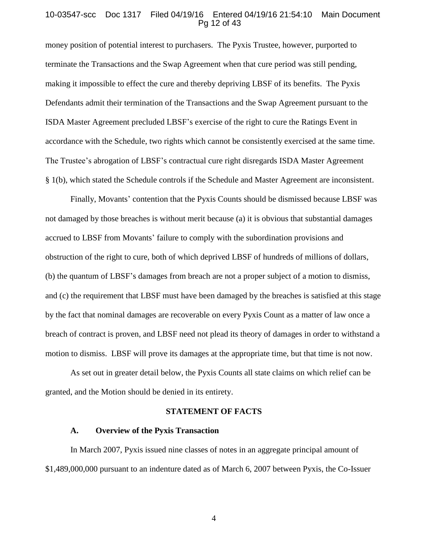#### 10-03547-scc Doc 1317 Filed 04/19/16 Entered 04/19/16 21:54:10 Main Document Pg 12 of 43

money position of potential interest to purchasers. The Pyxis Trustee, however, purported to terminate the Transactions and the Swap Agreement when that cure period was still pending, making it impossible to effect the cure and thereby depriving LBSF of its benefits. The Pyxis Defendants admit their termination of the Transactions and the Swap Agreement pursuant to the ISDA Master Agreement precluded LBSF's exercise of the right to cure the Ratings Event in accordance with the Schedule, two rights which cannot be consistently exercised at the same time. The Trustee's abrogation of LBSF's contractual cure right disregards ISDA Master Agreement § 1(b), which stated the Schedule controls if the Schedule and Master Agreement are inconsistent.

Finally, Movants' contention that the Pyxis Counts should be dismissed because LBSF was not damaged by those breaches is without merit because (a) it is obvious that substantial damages accrued to LBSF from Movants' failure to comply with the subordination provisions and obstruction of the right to cure, both of which deprived LBSF of hundreds of millions of dollars, (b) the quantum of LBSF's damages from breach are not a proper subject of a motion to dismiss, and (c) the requirement that LBSF must have been damaged by the breaches is satisfied at this stage by the fact that nominal damages are recoverable on every Pyxis Count as a matter of law once a breach of contract is proven, and LBSF need not plead its theory of damages in order to withstand a motion to dismiss. LBSF will prove its damages at the appropriate time, but that time is not now.

As set out in greater detail below, the Pyxis Counts all state claims on which relief can be granted, and the Motion should be denied in its entirety.

#### **STATEMENT OF FACTS**

### **A. Overview of the Pyxis Transaction**

In March 2007, Pyxis issued nine classes of notes in an aggregate principal amount of \$1,489,000,000 pursuant to an indenture dated as of March 6, 2007 between Pyxis, the Co-Issuer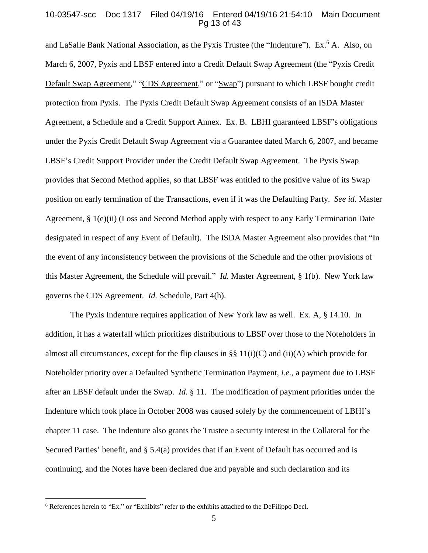### 10-03547-scc Doc 1317 Filed 04/19/16 Entered 04/19/16 21:54:10 Main Document Pg 13 of 43

and LaSalle Bank National Association, as the Pyxis Trustee (the "Indenture"). Ex.<sup>6</sup> A. Also, on March 6, 2007, Pyxis and LBSF entered into a Credit Default Swap Agreement (the "Pyxis Credit" Default Swap Agreement," "CDS Agreement," or "Swap") pursuant to which LBSF bought credit protection from Pyxis. The Pyxis Credit Default Swap Agreement consists of an ISDA Master Agreement, a Schedule and a Credit Support Annex. Ex. B. LBHI guaranteed LBSF's obligations under the Pyxis Credit Default Swap Agreement via a Guarantee dated March 6, 2007, and became LBSF's Credit Support Provider under the Credit Default Swap Agreement. The Pyxis Swap provides that Second Method applies, so that LBSF was entitled to the positive value of its Swap position on early termination of the Transactions, even if it was the Defaulting Party. *See id.* Master Agreement, § 1(e)(ii) (Loss and Second Method apply with respect to any Early Termination Date designated in respect of any Event of Default). The ISDA Master Agreement also provides that "In the event of any inconsistency between the provisions of the Schedule and the other provisions of this Master Agreement, the Schedule will prevail." *Id.* Master Agreement, § 1(b). New York law governs the CDS Agreement. *Id.* Schedule, Part 4(h).

The Pyxis Indenture requires application of New York law as well. Ex. A, § 14.10. In addition, it has a waterfall which prioritizes distributions to LBSF over those to the Noteholders in almost all circumstances, except for the flip clauses in  $\S\S 11(i)(C)$  and (ii)(A) which provide for Noteholder priority over a Defaulted Synthetic Termination Payment, *i.e.*, a payment due to LBSF after an LBSF default under the Swap. *Id.* § 11. The modification of payment priorities under the Indenture which took place in October 2008 was caused solely by the commencement of LBHI's chapter 11 case. The Indenture also grants the Trustee a security interest in the Collateral for the Secured Parties' benefit, and § 5.4(a) provides that if an Event of Default has occurred and is continuing, and the Notes have been declared due and payable and such declaration and its

<sup>&</sup>lt;sup>6</sup> References herein to "Ex." or "Exhibits" refer to the exhibits attached to the DeFilippo Decl.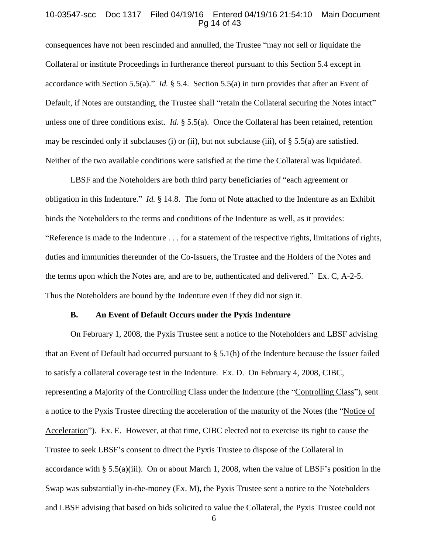#### 10-03547-scc Doc 1317 Filed 04/19/16 Entered 04/19/16 21:54:10 Main Document Pg 14 of 43

consequences have not been rescinded and annulled, the Trustee "may not sell or liquidate the Collateral or institute Proceedings in furtherance thereof pursuant to this Section 5.4 except in accordance with Section 5.5(a)." *Id.* § 5.4. Section 5.5(a) in turn provides that after an Event of Default, if Notes are outstanding, the Trustee shall "retain the Collateral securing the Notes intact" unless one of three conditions exist. *Id.* § 5.5(a). Once the Collateral has been retained, retention may be rescinded only if subclauses (i) or (ii), but not subclause (iii), of  $\S$  5.5(a) are satisfied. Neither of the two available conditions were satisfied at the time the Collateral was liquidated.

LBSF and the Noteholders are both third party beneficiaries of "each agreement or obligation in this Indenture." *Id.* § 14.8. The form of Note attached to the Indenture as an Exhibit binds the Noteholders to the terms and conditions of the Indenture as well, as it provides: "Reference is made to the Indenture . . . for a statement of the respective rights, limitations of rights, duties and immunities thereunder of the Co-Issuers, the Trustee and the Holders of the Notes and the terms upon which the Notes are, and are to be, authenticated and delivered." Ex. C, A-2-5. Thus the Noteholders are bound by the Indenture even if they did not sign it.

## **B. An Event of Default Occurs under the Pyxis Indenture**

On February 1, 2008, the Pyxis Trustee sent a notice to the Noteholders and LBSF advising that an Event of Default had occurred pursuant to § 5.1(h) of the Indenture because the Issuer failed to satisfy a collateral coverage test in the Indenture. Ex. D. On February 4, 2008, CIBC, representing a Majority of the Controlling Class under the Indenture (the "Controlling Class"), sent a notice to the Pyxis Trustee directing the acceleration of the maturity of the Notes (the "Notice of Acceleration"). Ex. E. However, at that time, CIBC elected not to exercise its right to cause the Trustee to seek LBSF's consent to direct the Pyxis Trustee to dispose of the Collateral in accordance with § 5.5(a)(iii). On or about March 1, 2008, when the value of LBSF's position in the Swap was substantially in-the-money (Ex. M), the Pyxis Trustee sent a notice to the Noteholders and LBSF advising that based on bids solicited to value the Collateral, the Pyxis Trustee could not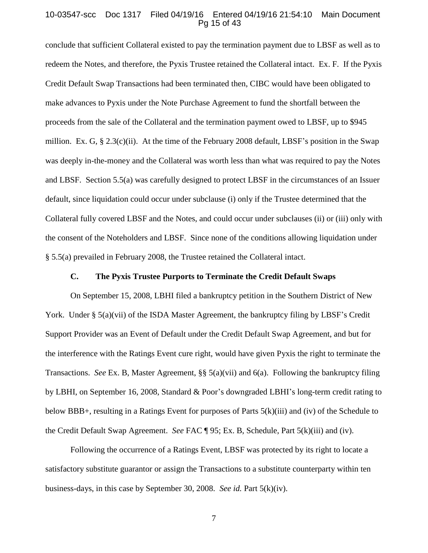### 10-03547-scc Doc 1317 Filed 04/19/16 Entered 04/19/16 21:54:10 Main Document Pg 15 of 43

conclude that sufficient Collateral existed to pay the termination payment due to LBSF as well as to redeem the Notes, and therefore, the Pyxis Trustee retained the Collateral intact. Ex. F. If the Pyxis Credit Default Swap Transactions had been terminated then, CIBC would have been obligated to make advances to Pyxis under the Note Purchase Agreement to fund the shortfall between the proceeds from the sale of the Collateral and the termination payment owed to LBSF, up to \$945 million. Ex. G,  $\S 2.3(c)(ii)$ . At the time of the February 2008 default, LBSF's position in the Swap was deeply in-the-money and the Collateral was worth less than what was required to pay the Notes and LBSF. Section 5.5(a) was carefully designed to protect LBSF in the circumstances of an Issuer default, since liquidation could occur under subclause (i) only if the Trustee determined that the Collateral fully covered LBSF and the Notes, and could occur under subclauses (ii) or (iii) only with the consent of the Noteholders and LBSF. Since none of the conditions allowing liquidation under § 5.5(a) prevailed in February 2008, the Trustee retained the Collateral intact.

# **C. The Pyxis Trustee Purports to Terminate the Credit Default Swaps**

On September 15, 2008, LBHI filed a bankruptcy petition in the Southern District of New York. Under § 5(a)(vii) of the ISDA Master Agreement, the bankruptcy filing by LBSF's Credit Support Provider was an Event of Default under the Credit Default Swap Agreement, and but for the interference with the Ratings Event cure right, would have given Pyxis the right to terminate the Transactions. *See* Ex. B, Master Agreement, §§ 5(a)(vii) and 6(a). Following the bankruptcy filing by LBHI, on September 16, 2008, Standard & Poor's downgraded LBHI's long-term credit rating to below BBB+, resulting in a Ratings Event for purposes of Parts 5(k)(iii) and (iv) of the Schedule to the Credit Default Swap Agreement. *See* FAC ¶ 95; Ex. B, Schedule, Part 5(k)(iii) and (iv).

Following the occurrence of a Ratings Event, LBSF was protected by its right to locate a satisfactory substitute guarantor or assign the Transactions to a substitute counterparty within ten business-days, in this case by September 30, 2008. *See id.* Part 5(k)(iv).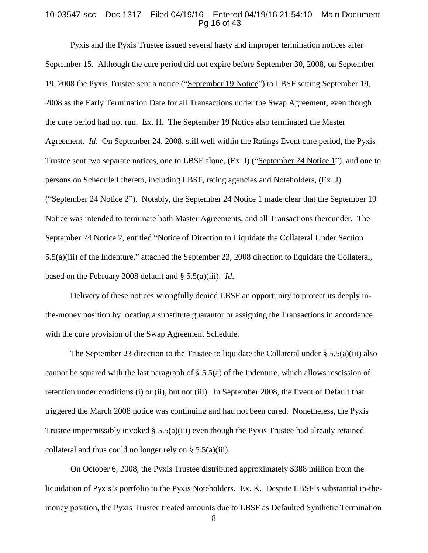#### 10-03547-scc Doc 1317 Filed 04/19/16 Entered 04/19/16 21:54:10 Main Document Pg 16 of 43

Pyxis and the Pyxis Trustee issued several hasty and improper termination notices after September 15. Although the cure period did not expire before September 30, 2008, on September 19, 2008 the Pyxis Trustee sent a notice ("September 19 Notice") to LBSF setting September 19, 2008 as the Early Termination Date for all Transactions under the Swap Agreement, even though the cure period had not run. Ex. H. The September 19 Notice also terminated the Master Agreement. *Id*. On September 24, 2008, still well within the Ratings Event cure period, the Pyxis Trustee sent two separate notices, one to LBSF alone, (Ex. I) ("September 24 Notice 1"), and one to persons on Schedule I thereto, including LBSF, rating agencies and Noteholders, (Ex. J) ("September 24 Notice 2"). Notably, the September 24 Notice 1 made clear that the September 19 Notice was intended to terminate both Master Agreements, and all Transactions thereunder. The September 24 Notice 2, entitled "Notice of Direction to Liquidate the Collateral Under Section 5.5(a)(iii) of the Indenture," attached the September 23, 2008 direction to liquidate the Collateral, based on the February 2008 default and § 5.5(a)(iii). *Id*.

Delivery of these notices wrongfully denied LBSF an opportunity to protect its deeply inthe-money position by locating a substitute guarantor or assigning the Transactions in accordance with the cure provision of the Swap Agreement Schedule.

The September 23 direction to the Trustee to liquidate the Collateral under  $\S 5.5(a)(iii)$  also cannot be squared with the last paragraph of  $\S 5.5(a)$  of the Indenture, which allows rescission of retention under conditions (i) or (ii), but not (iii). In September 2008, the Event of Default that triggered the March 2008 notice was continuing and had not been cured. Nonetheless, the Pyxis Trustee impermissibly invoked  $\S$  5.5(a)(iii) even though the Pyxis Trustee had already retained collateral and thus could no longer rely on  $\S$  5.5(a)(iii).

On October 6, 2008, the Pyxis Trustee distributed approximately \$388 million from the liquidation of Pyxis's portfolio to the Pyxis Noteholders. Ex. K. Despite LBSF's substantial in-themoney position, the Pyxis Trustee treated amounts due to LBSF as Defaulted Synthetic Termination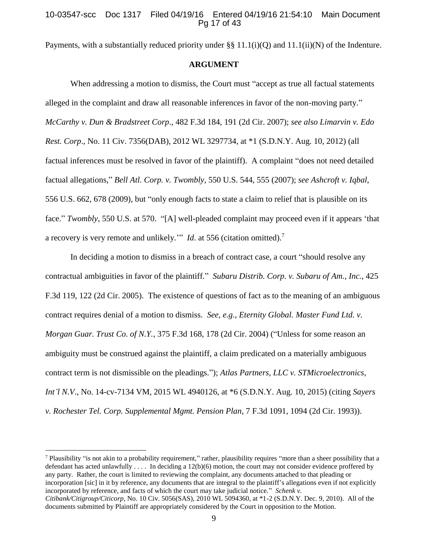# 10-03547-scc Doc 1317 Filed 04/19/16 Entered 04/19/16 21:54:10 Main Document Pg 17 of 43

Payments, with a substantially reduced priority under  $\S\S 11.1(i)(Q)$  and  $11.1(ii)(N)$  of the Indenture.

#### **ARGUMENT**

When addressing a motion to dismiss, the Court must "accept as true all factual statements alleged in the complaint and draw all reasonable inferences in favor of the non-moving party." *McCarthy v. Dun & Bradstreet Corp*., 482 F.3d 184, 191 (2d Cir. 2007); *see also Limarvin v. Edo Rest. Corp*., No. 11 Civ. 7356(DAB), 2012 WL 3297734, at \*1 (S.D.N.Y. Aug. 10, 2012) (all factual inferences must be resolved in favor of the plaintiff). A complaint "does not need detailed factual allegations," *Bell Atl. Corp. v. Twombly*, 550 U.S. 544, 555 (2007); *see Ashcroft v. Iqbal*, 556 U.S. 662, 678 (2009), but "only enough facts to state a claim to relief that is plausible on its face." *Twombly*, 550 U.S. at 570. "[A] well-pleaded complaint may proceed even if it appears 'that a recovery is very remote and unlikely.'" *Id*. at 556 (citation omitted).<sup>7</sup>

In deciding a motion to dismiss in a breach of contract case, a court "should resolve any contractual ambiguities in favor of the plaintiff." *Subaru Distrib. Corp. v. Subaru of Am., Inc.*, 425 F.3d 119, 122 (2d Cir. 2005). The existence of questions of fact as to the meaning of an ambiguous contract requires denial of a motion to dismiss. *See, e.g.*, *Eternity Global. Master Fund Ltd. v. Morgan Guar. Trust Co. of N.Y.*, 375 F.3d 168, 178 (2d Cir. 2004) ("Unless for some reason an ambiguity must be construed against the plaintiff, a claim predicated on a materially ambiguous contract term is not dismissible on the pleadings."); *Atlas Partners, LLC v. STMicroelectronics, Int'l N.V*., No. 14-cv-7134 VM, 2015 WL 4940126, at \*6 (S.D.N.Y. Aug. 10, 2015) (citing *Sayers v. Rochester Tel. Corp. Supplemental Mgmt. Pension Plan*, 7 F.3d 1091, 1094 (2d Cir. 1993)).

<sup>7</sup> Plausibility "is not akin to a probability requirement," rather, plausibility requires "more than a sheer possibility that a defendant has acted unlawfully  $\dots$ . In deciding a 12(b)(6) motion, the court may not consider evidence proffered by any party. Rather, the court is limited to reviewing the complaint, any documents attached to that pleading or incorporation [sic] in it by reference, any documents that are integral to the plaintiff's allegations even if not explicitly incorporated by reference, and facts of which the court may take judicial notice." *Schenk v. Citibank/Citigroup/Citicorp*, No. 10 Civ. 5056(SAS), 2010 WL 5094360, at \*1-2 (S.D.N.Y. Dec. 9, 2010). All of the documents submitted by Plaintiff are appropriately considered by the Court in opposition to the Motion.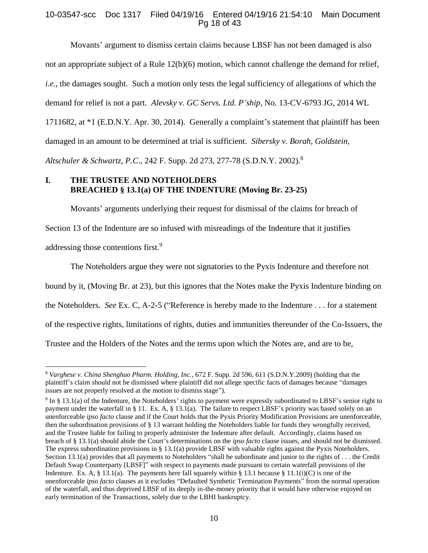# 10-03547-scc Doc 1317 Filed 04/19/16 Entered 04/19/16 21:54:10 Main Document Pg 18 of 43

Movants' argument to dismiss certain claims because LBSF has not been damaged is also not an appropriate subject of a Rule 12(b)(6) motion, which cannot challenge the demand for relief, *i.e.,* the damages sought. Such a motion only tests the legal sufficiency of allegations of which the demand for relief is not a part. *Alevsky v. GC Servs. Ltd. P'ship*, No. 13-CV-6793 JG, 2014 WL 1711682, at \*1 (E.D.N.Y. Apr. 30, 2014). Generally a complaint's statement that plaintiff has been damaged in an amount to be determined at trial is sufficient. *Sibersky v. Borah, Goldstein, Altschuler & Schwartz, P.C*., 242 F. Supp. 2d 273, 277-78 (S.D.N.Y. 2002).<sup>8</sup>

# **I. THE TRUSTEE AND NOTEHOLDERS BREACHED § 13.1(a) OF THE INDENTURE (Moving Br. 23-25)**

Movants' arguments underlying their request for dismissal of the claims for breach of Section 13 of the Indenture are so infused with misreadings of the Indenture that it justifies addressing those contentions first.<sup>9</sup>

The Noteholders argue they were not signatories to the Pyxis Indenture and therefore not bound by it, (Moving Br. at 23), but this ignores that the Notes make the Pyxis Indenture binding on the Noteholders. *See* Ex. C, A-2-5 ("Reference is hereby made to the Indenture . . . for a statement of the respective rights, limitations of rights, duties and immunities thereunder of the Co-Issuers, the Trustee and the Holders of the Notes and the terms upon which the Notes are, and are to be,

<sup>8</sup> *Varghese v. China Shenghuo Pharm. Holding, Inc.*, 672 F. Supp. 2d 596, 611 (S.D.N.Y.2009) (holding that the plaintiff's claim should not be dismissed where plaintiff did not allege specific facts of damages because "damages issues are not properly resolved at the motion to dismiss stage").

 $9 \text{ In } \$13.1$ (a) of the Indenture, the Noteholders' rights to payment were expressly subordinated to LBSF's senior right to payment under the waterfall in § 11. Ex. A, § 13.1(a). The failure to respect LBSF's priority was based solely on an unenforceable *ipso facto* clause and if the Court holds that the Pyxis Priority Modification Provisions are unenforceable, then the subordination provisions of § 13 warrant holding the Noteholders liable for funds they wrongfully received, and the Trustee liable for failing to properly administer the Indenture after default. Accordingly, claims based on breach of § 13.1(a) should abide the Court's determinations on the *ipso facto* clause issues, and should not be dismissed. The express subordination provisions in § 13.1(a) provide LBSF with valuable rights against the Pyxis Noteholders. Section 13.1(a) provides that all payments to Noteholders "shall be subordinate and junior to the rights of . . . the Credit Default Swap Counterparty [LBSF]" with respect to payments made pursuant to certain waterfall provisions of the Indenture. Ex. A, § 13.1(a). The payments here fall squarely within § 13.1 because § 11.1(i)(C) is one of the unenforceable *ipso facto* clauses as it excludes "Defaulted Synthetic Termination Payments" from the normal operation of the waterfall, and thus deprived LBSF of its deeply in-the-money priority that it would have otherwise enjoyed on early termination of the Transactions, solely due to the LBHI bankruptcy.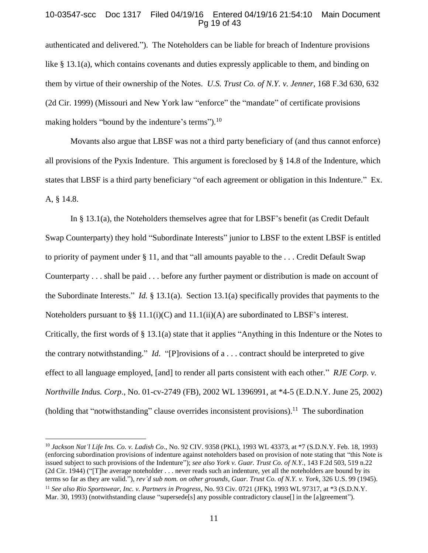### 10-03547-scc Doc 1317 Filed 04/19/16 Entered 04/19/16 21:54:10 Main Document Pg 19 of 43

authenticated and delivered."). The Noteholders can be liable for breach of Indenture provisions like § 13.1(a), which contains covenants and duties expressly applicable to them, and binding on them by virtue of their ownership of the Notes. *U.S. Trust Co. of N.Y. v. Jenner*, 168 F.3d 630, 632 (2d Cir. 1999) (Missouri and New York law "enforce" the "mandate" of certificate provisions making holders "bound by the indenture's terms").<sup>10</sup>

Movants also argue that LBSF was not a third party beneficiary of (and thus cannot enforce) all provisions of the Pyxis Indenture. This argument is foreclosed by § 14.8 of the Indenture, which states that LBSF is a third party beneficiary "of each agreement or obligation in this Indenture." Ex. A, § 14.8.

In § 13.1(a), the Noteholders themselves agree that for LBSF's benefit (as Credit Default Swap Counterparty) they hold "Subordinate Interests" junior to LBSF to the extent LBSF is entitled to priority of payment under § 11, and that "all amounts payable to the . . . Credit Default Swap Counterparty . . . shall be paid . . . before any further payment or distribution is made on account of the Subordinate Interests." *Id.* § 13.1(a). Section 13.1(a) specifically provides that payments to the Noteholders pursuant to §§ 11.1(i)(C) and 11.1(ii)(A) are subordinated to LBSF's interest. Critically, the first words of § 13.1(a) state that it applies "Anything in this Indenture or the Notes to the contrary notwithstanding." *Id*. "[P]rovisions of a . . . contract should be interpreted to give effect to all language employed, [and] to render all parts consistent with each other." *RJE Corp. v. Northville Indus. Corp*., No. 01-cv-2749 (FB), 2002 WL 1396991, at \*4-5 (E.D.N.Y. June 25, 2002) (holding that "notwithstanding" clause overrides inconsistent provisions).<sup>11</sup> The subordination

<sup>10</sup> *Jackson Nat'l Life Ins. Co. v. Ladish Co*., No. 92 CIV. 9358 (PKL), 1993 WL 43373, at \*7 (S.D.N.Y. Feb. 18, 1993) (enforcing subordination provisions of indenture against noteholders based on provision of note stating that "this Note is issued subject to such provisions of the Indenture"); *see also York v. Guar. Trust Co. of N.Y.*, 143 F.2d 503, 519 n.22 (2d Cir. 1944) ("[T]he average noteholder . . . never reads such an indenture, yet all the noteholders are bound by its terms so far as they are valid."), *rev'd sub nom. on other grounds*, *Guar. Trust Co. of N.Y. v. York*, 326 U.S. 99 (1945). <sup>11</sup> *See also Rio Sportswear, Inc. v. Partners in Progress*, No. 93 Civ. 0721 (JFK), 1993 WL 97317, at \*3 (S.D.N.Y. Mar. 30, 1993) (notwithstanding clause "supersede<sup>[s]</sup> any possible contradictory clause<sup>[]</sup> in the [a]greement").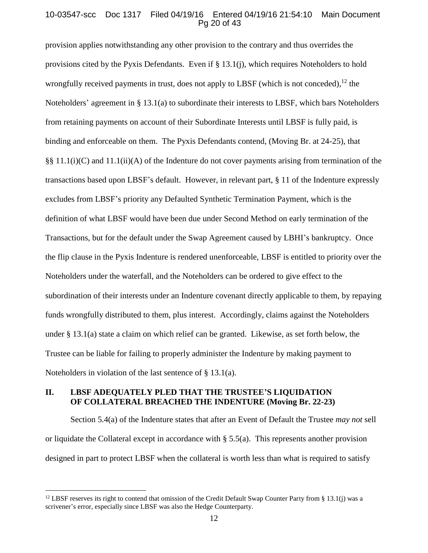# 10-03547-scc Doc 1317 Filed 04/19/16 Entered 04/19/16 21:54:10 Main Document Pg 20 of 43

provision applies notwithstanding any other provision to the contrary and thus overrides the provisions cited by the Pyxis Defendants. Even if § 13.1(j), which requires Noteholders to hold wrongfully received payments in trust, does not apply to LBSF (which is not conceded),  $^{12}$  the Noteholders' agreement in § 13.1(a) to subordinate their interests to LBSF, which bars Noteholders from retaining payments on account of their Subordinate Interests until LBSF is fully paid, is binding and enforceable on them. The Pyxis Defendants contend, (Moving Br. at 24-25), that §§ 11.1(i)(C) and 11.1(ii)(A) of the Indenture do not cover payments arising from termination of the transactions based upon LBSF's default. However, in relevant part, § 11 of the Indenture expressly excludes from LBSF's priority any Defaulted Synthetic Termination Payment, which is the definition of what LBSF would have been due under Second Method on early termination of the Transactions, but for the default under the Swap Agreement caused by LBHI's bankruptcy. Once the flip clause in the Pyxis Indenture is rendered unenforceable, LBSF is entitled to priority over the Noteholders under the waterfall, and the Noteholders can be ordered to give effect to the subordination of their interests under an Indenture covenant directly applicable to them, by repaying funds wrongfully distributed to them, plus interest. Accordingly, claims against the Noteholders under § 13.1(a) state a claim on which relief can be granted. Likewise, as set forth below, the Trustee can be liable for failing to properly administer the Indenture by making payment to Noteholders in violation of the last sentence of § 13.1(a).

# **II. LBSF ADEQUATELY PLED THAT THE TRUSTEE'S LIQUIDATION OF COLLATERAL BREACHED THE INDENTURE (Moving Br. 22-23)**

Section 5.4(a) of the Indenture states that after an Event of Default the Trustee *may not* sell or liquidate the Collateral except in accordance with  $\S$  5.5(a). This represents another provision designed in part to protect LBSF when the collateral is worth less than what is required to satisfy

<sup>&</sup>lt;sup>12</sup> LBSF reserves its right to contend that omission of the Credit Default Swap Counter Party from § 13.1(j) was a scrivener's error, especially since LBSF was also the Hedge Counterparty.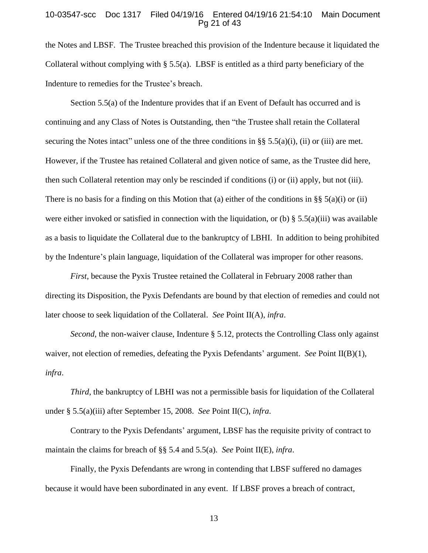#### 10-03547-scc Doc 1317 Filed 04/19/16 Entered 04/19/16 21:54:10 Main Document Pg 21 of 43

the Notes and LBSF. The Trustee breached this provision of the Indenture because it liquidated the Collateral without complying with § 5.5(a). LBSF is entitled as a third party beneficiary of the Indenture to remedies for the Trustee's breach.

Section 5.5(a) of the Indenture provides that if an Event of Default has occurred and is continuing and any Class of Notes is Outstanding, then "the Trustee shall retain the Collateral securing the Notes intact" unless one of the three conditions in  $\S$ § 5.5(a)(i), (ii) or (iii) are met. However, if the Trustee has retained Collateral and given notice of same, as the Trustee did here, then such Collateral retention may only be rescinded if conditions (i) or (ii) apply, but not (iii). There is no basis for a finding on this Motion that (a) either of the conditions in §§  $5(a)(i)$  or (ii) were either invoked or satisfied in connection with the liquidation, or (b) § 5.5(a)(iii) was available as a basis to liquidate the Collateral due to the bankruptcy of LBHI. In addition to being prohibited by the Indenture's plain language, liquidation of the Collateral was improper for other reasons.

*First*, because the Pyxis Trustee retained the Collateral in February 2008 rather than directing its Disposition, the Pyxis Defendants are bound by that election of remedies and could not later choose to seek liquidation of the Collateral. *See* Point II(A), *infra*.

*Second*, the non-waiver clause, Indenture § 5.12, protects the Controlling Class only against waiver, not election of remedies, defeating the Pyxis Defendants' argument. *See* Point II(B)(1), *infra*.

*Third*, the bankruptcy of LBHI was not a permissible basis for liquidation of the Collateral under § 5.5(a)(iii) after September 15, 2008. *See* Point II(C), *infra*.

Contrary to the Pyxis Defendants' argument, LBSF has the requisite privity of contract to maintain the claims for breach of §§ 5.4 and 5.5(a). *See* Point II(E), *infra*.

Finally, the Pyxis Defendants are wrong in contending that LBSF suffered no damages because it would have been subordinated in any event. If LBSF proves a breach of contract,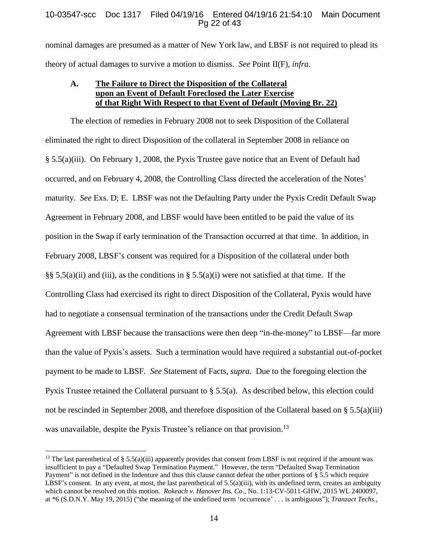## 10-03547-scc Doc 1317 Filed 04/19/16 Entered 04/19/16 21:54:10 Main Document Pg 22 of 43

nominal damages are presumed as a matter of New York law, and LBSF is not required to plead its theory of actual damages to survive a motion to dismiss. *See* Point II(F), *infra*.

# **A. The Failure to Direct the Disposition of the Collateral upon an Event of Default Foreclosed the Later Exercise of that Right With Respect to that Event of Default (Moving Br. 22)**

The election of remedies in February 2008 not to seek Disposition of the Collateral eliminated the right to direct Disposition of the collateral in September 2008 in reliance on § 5.5(a)(iii). On February 1, 2008, the Pyxis Trustee gave notice that an Event of Default had occurred, and on February 4, 2008, the Controlling Class directed the acceleration of the Notes' maturity. *See* Exs. D; E. LBSF was not the Defaulting Party under the Pyxis Credit Default Swap Agreement in February 2008, and LBSF would have been entitled to be paid the value of its position in the Swap if early termination of the Transaction occurred at that time. In addition, in February 2008, LBSF's consent was required for a Disposition of the collateral under both §§ 5.5(a)(ii) and (iii), as the conditions in § 5.5(a)(i) were not satisfied at that time. If the Controlling Class had exercised its right to direct Disposition of the Collateral, Pyxis would have had to negotiate a consensual termination of the transactions under the Credit Default Swap Agreement with LBSF because the transactions were then deep "in-the-money" to LBSF—far more than the value of Pyxis's assets. Such a termination would have required a substantial out-of-pocket payment to be made to LBSF. *See* Statement of Facts, *supra*. Due to the foregoing election the Pyxis Trustee retained the Collateral pursuant to § 5.5(a). As described below, this election could not be rescinded in September 2008, and therefore disposition of the Collateral based on § 5.5(a)(iii) was unavailable, despite the Pyxis Trustee's reliance on that provision.<sup>13</sup>

<sup>&</sup>lt;sup>13</sup> The last parenthetical of § 5.5(a)(iii) apparently provides that consent from LBSF is not required if the amount was insufficient to pay a "Defaulted Swap Termination Payment." However, the term "Defaulted Swap Termination Payment" is not defined in the Indenture and thus this clause cannot defeat the other portions of § 5.5 which require LBSF's consent. In any event, at most, the last parenthetical of  $5.5(a)(iii)$ , with its undefined term, creates an ambiguity which cannot be resolved on this motion*. Rokeach v. Hanover Ins. Co*., No. 1:13-CV-5011-GHW, 2015 WL 2400097, at \*6 (S.D.N.Y. May 19, 2015) ("the meaning of the undefined term 'occurrence' . . . is ambiguous"); *Tranzact Techs.,*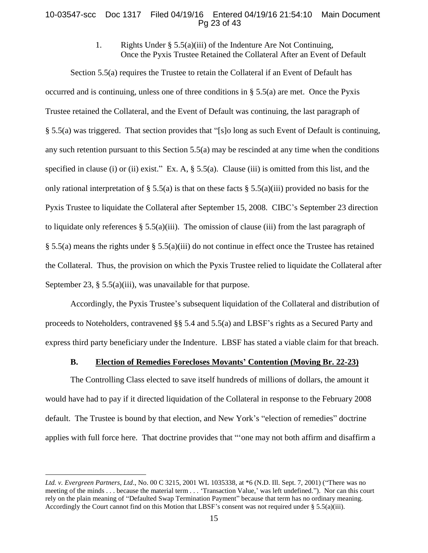### 10-03547-scc Doc 1317 Filed 04/19/16 Entered 04/19/16 21:54:10 Main Document Pg 23 of 43

1. Rights Under § 5.5(a)(iii) of the Indenture Are Not Continuing, Once the Pyxis Trustee Retained the Collateral After an Event of Default

Section 5.5(a) requires the Trustee to retain the Collateral if an Event of Default has occurred and is continuing, unless one of three conditions in § 5.5(a) are met. Once the Pyxis Trustee retained the Collateral, and the Event of Default was continuing, the last paragraph of § 5.5(a) was triggered. That section provides that "[s]o long as such Event of Default is continuing, any such retention pursuant to this Section 5.5(a) may be rescinded at any time when the conditions specified in clause (i) or (ii) exist." Ex. A, § 5.5(a). Clause (iii) is omitted from this list, and the only rational interpretation of § 5.5(a) is that on these facts § 5.5(a)(iii) provided no basis for the Pyxis Trustee to liquidate the Collateral after September 15, 2008. CIBC's September 23 direction to liquidate only references  $\S$  5.5(a)(iii). The omission of clause (iii) from the last paragraph of § 5.5(a) means the rights under § 5.5(a)(iii) do not continue in effect once the Trustee has retained the Collateral. Thus, the provision on which the Pyxis Trustee relied to liquidate the Collateral after September 23,  $\S$  5.5(a)(iii), was unavailable for that purpose.

Accordingly, the Pyxis Trustee's subsequent liquidation of the Collateral and distribution of proceeds to Noteholders, contravened §§ 5.4 and 5.5(a) and LBSF's rights as a Secured Party and express third party beneficiary under the Indenture. LBSF has stated a viable claim for that breach.

# **B. Election of Remedies Forecloses Movants' Contention (Moving Br. 22-23)**

The Controlling Class elected to save itself hundreds of millions of dollars, the amount it would have had to pay if it directed liquidation of the Collateral in response to the February 2008 default. The Trustee is bound by that election, and New York's "election of remedies" doctrine applies with full force here. That doctrine provides that "'one may not both affirm and disaffirm a

*Ltd. v. Evergreen Partners, Ltd*., No. 00 C 3215, 2001 WL 1035338, at \*6 (N.D. Ill. Sept. 7, 2001) ("There was no meeting of the minds . . . because the material term . . . 'Transaction Value,' was left undefined."). Nor can this court rely on the plain meaning of "Defaulted Swap Termination Payment" because that term has no ordinary meaning. Accordingly the Court cannot find on this Motion that LBSF's consent was not required under  $\S 5.5(a)(iii)$ .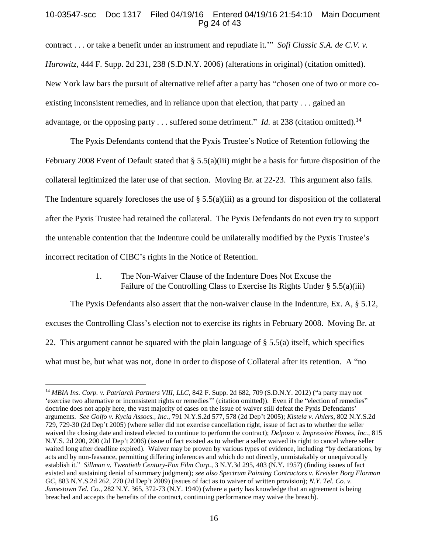# 10-03547-scc Doc 1317 Filed 04/19/16 Entered 04/19/16 21:54:10 Main Document Pg 24 of 43

contract . . . or take a benefit under an instrument and repudiate it.'" *Sofi Classic S.A. de C.V. v. Hurowitz*, 444 F. Supp. 2d 231, 238 (S.D.N.Y. 2006) (alterations in original) (citation omitted). New York law bars the pursuit of alternative relief after a party has "chosen one of two or more coexisting inconsistent remedies, and in reliance upon that election, that party . . . gained an advantage, or the opposing party . . . suffered some detriment." *Id*. at 238 (citation omitted).<sup>14</sup>

The Pyxis Defendants contend that the Pyxis Trustee's Notice of Retention following the February 2008 Event of Default stated that § 5.5(a)(iii) might be a basis for future disposition of the collateral legitimized the later use of that section. Moving Br. at 22-23. This argument also fails. The Indenture squarely forecloses the use of  $\S$  5.5(a)(iii) as a ground for disposition of the collateral after the Pyxis Trustee had retained the collateral. The Pyxis Defendants do not even try to support the untenable contention that the Indenture could be unilaterally modified by the Pyxis Trustee's incorrect recitation of CIBC's rights in the Notice of Retention.

> 1. The Non-Waiver Clause of the Indenture Does Not Excuse the Failure of the Controlling Class to Exercise Its Rights Under § 5.5(a)(iii)

The Pyxis Defendants also assert that the non-waiver clause in the Indenture, Ex. A, § 5.12, excuses the Controlling Class's election not to exercise its rights in February 2008. Moving Br. at 22. This argument cannot be squared with the plain language of  $\S 5.5(a)$  itself, which specifies what must be, but what was not, done in order to dispose of Collateral after its retention. A "no

<sup>14</sup> *MBIA Ins. Corp. v. Patriarch Partners VIII, LLC*, 842 F. Supp. 2d 682, 709 (S.D.N.Y. 2012) ("a party may not 'exercise two alternative or inconsistent rights or remedies'" (citation omitted)). Even if the "election of remedies" doctrine does not apply here, the vast majority of cases on the issue of waiver still defeat the Pyxis Defendants' arguments. *See Golfo v. Kycia Assocs.*, *Inc.*, 791 N.Y.S.2d 577, 578 (2d Dep't 2005); *Kistela v. Ahlers*, 802 N.Y.S.2d 729, 729-30 (2d Dep't 2005) (where seller did not exercise cancellation right, issue of fact as to whether the seller waived the closing date and instead elected to continue to perform the contract); *Delpozo v. Impressive Homes, Inc.*, 815 N.Y.S. 2d 200, 200 (2d Dep't 2006) (issue of fact existed as to whether a seller waived its right to cancel where seller waited long after deadline expired). Waiver may be proven by various types of evidence, including "by declarations, by acts and by non-feasance, permitting differing inferences and which do not directly, unmistakably or unequivocally establish it." *Sillman v. Twentieth Century-Fox Film Corp.*, 3 N.Y.3d 295, 403 (N.Y. 1957) (finding issues of fact existed and sustaining denial of summary judgment); *see also Spectrum Painting Contractors v. Kreisler Borg Florman GC*, 883 N.Y.S.2d 262, 270 (2d Dep't 2009) (issues of fact as to waiver of written provision); *N.Y. Tel. Co. v. Jamestown Tel. Co.*, 282 N.Y. 365, 372-73 (N.Y. 1940) (where a party has knowledge that an agreement is being breached and accepts the benefits of the contract, continuing performance may waive the breach).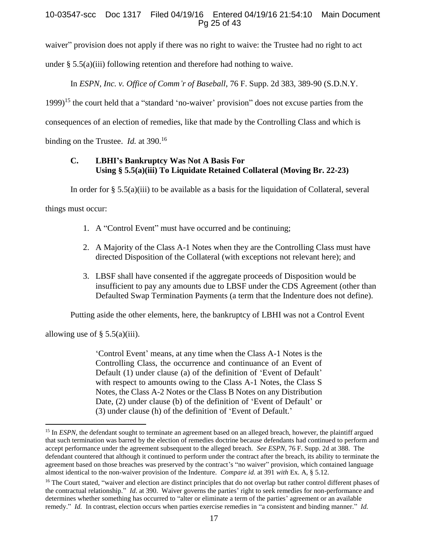# 10-03547-scc Doc 1317 Filed 04/19/16 Entered 04/19/16 21:54:10 Main Document Pg 25 of 43

waiver" provision does not apply if there was no right to waive: the Trustee had no right to act

under  $\S 5.5(a)(iii)$  following retention and therefore had nothing to waive.

In *ESPN, Inc. v. Office of Comm'r of Baseball*, 76 F. Supp. 2d 383, 389-90 (S.D.N.Y.

1999) <sup>15</sup> the court held that a "standard 'no-waiver' provision" does not excuse parties from the

consequences of an election of remedies, like that made by the Controlling Class and which is

binding on the Trustee. *Id.* at 390.<sup>16</sup>

# **C. LBHI's Bankruptcy Was Not A Basis For Using § 5.5(a)(iii) To Liquidate Retained Collateral (Moving Br. 22-23)**

In order for  $\S 5.5(a)$ (iii) to be available as a basis for the liquidation of Collateral, several

things must occur:

- 1. A "Control Event" must have occurred and be continuing;
- 2. A Majority of the Class A-1 Notes when they are the Controlling Class must have directed Disposition of the Collateral (with exceptions not relevant here); and
- 3. LBSF shall have consented if the aggregate proceeds of Disposition would be insufficient to pay any amounts due to LBSF under the CDS Agreement (other than Defaulted Swap Termination Payments (a term that the Indenture does not define).

Putting aside the other elements, here, the bankruptcy of LBHI was not a Control Event

allowing use of  $\S$  5.5(a)(iii).

 $\overline{a}$ 

'Control Event' means, at any time when the Class A-1 Notes is the Controlling Class, the occurrence and continuance of an Event of Default (1) under clause (a) of the definition of 'Event of Default' with respect to amounts owing to the Class A-1 Notes, the Class S Notes, the Class A-2 Notes or the Class B Notes on any Distribution Date, (2) under clause (b) of the definition of 'Event of Default' or (3) under clause (h) of the definition of 'Event of Default.'

<sup>&</sup>lt;sup>15</sup> In *ESPN*, the defendant sought to terminate an agreement based on an alleged breach, however, the plaintiff argued that such termination was barred by the election of remedies doctrine because defendants had continued to perform and accept performance under the agreement subsequent to the alleged breach. *See ESPN*, 76 F. Supp. 2d at 388. The defendant countered that although it continued to perform under the contract after the breach, its ability to terminate the agreement based on those breaches was preserved by the contract's "no waiver" provision, which contained language almost identical to the non-waiver provision of the Indenture. *Compare id.* at 391 *with* Ex. A, § 5.12.

<sup>&</sup>lt;sup>16</sup> The Court stated, "waiver and election are distinct principles that do not overlap but rather control different phases of the contractual relationship." *Id*. at 390. Waiver governs the parties' right to seek remedies for non-performance and determines whether something has occurred to "alter or eliminate a term of the parties' agreement or an available remedy." *Id.* In contrast, election occurs when parties exercise remedies in "a consistent and binding manner." *Id.*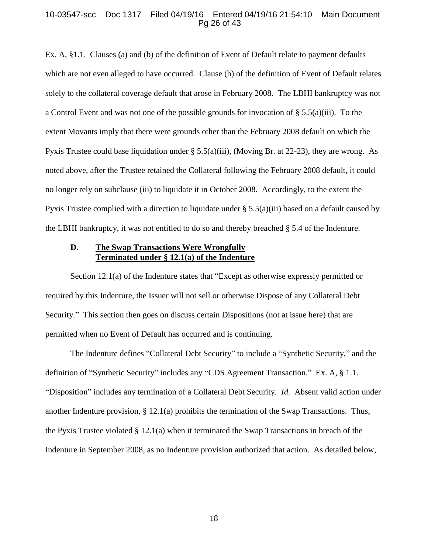#### 10-03547-scc Doc 1317 Filed 04/19/16 Entered 04/19/16 21:54:10 Main Document Pg 26 of 43

Ex. A, §1.1. Clauses (a) and (b) of the definition of Event of Default relate to payment defaults which are not even alleged to have occurred. Clause (h) of the definition of Event of Default relates solely to the collateral coverage default that arose in February 2008. The LBHI bankruptcy was not a Control Event and was not one of the possible grounds for invocation of  $\S 5.5(a)(iii)$ . To the extent Movants imply that there were grounds other than the February 2008 default on which the Pyxis Trustee could base liquidation under § 5.5(a)(iii), (Moving Br. at 22-23), they are wrong. As noted above, after the Trustee retained the Collateral following the February 2008 default, it could no longer rely on subclause (iii) to liquidate it in October 2008. Accordingly, to the extent the Pyxis Trustee complied with a direction to liquidate under  $\S 5.5(a)(iii)$  based on a default caused by the LBHI bankruptcy, it was not entitled to do so and thereby breached § 5.4 of the Indenture.

# **D. The Swap Transactions Were Wrongfully Terminated under § 12.1(a) of the Indenture**

Section 12.1(a) of the Indenture states that "Except as otherwise expressly permitted or required by this Indenture, the Issuer will not sell or otherwise Dispose of any Collateral Debt Security." This section then goes on discuss certain Dispositions (not at issue here) that are permitted when no Event of Default has occurred and is continuing.

The Indenture defines "Collateral Debt Security" to include a "Synthetic Security," and the definition of "Synthetic Security" includes any "CDS Agreement Transaction." Ex. A, § 1.1. "Disposition" includes any termination of a Collateral Debt Security. *Id.* Absent valid action under another Indenture provision, § 12.1(a) prohibits the termination of the Swap Transactions. Thus, the Pyxis Trustee violated § 12.1(a) when it terminated the Swap Transactions in breach of the Indenture in September 2008, as no Indenture provision authorized that action. As detailed below,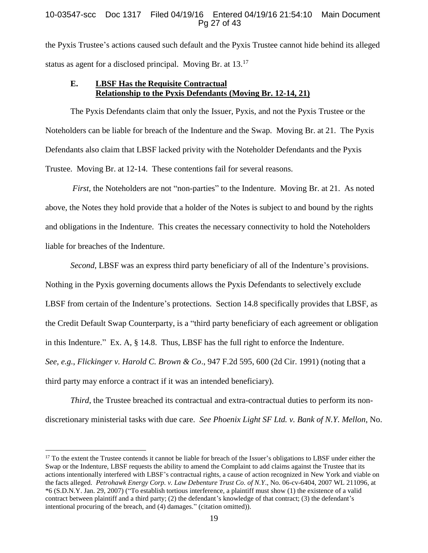# 10-03547-scc Doc 1317 Filed 04/19/16 Entered 04/19/16 21:54:10 Main Document Pg 27 of 43

the Pyxis Trustee's actions caused such default and the Pyxis Trustee cannot hide behind its alleged status as agent for a disclosed principal. Moving Br. at 13.<sup>17</sup>

# **E. LBSF Has the Requisite Contractual Relationship to the Pyxis Defendants (Moving Br. 12-14, 21)**

The Pyxis Defendants claim that only the Issuer, Pyxis, and not the Pyxis Trustee or the Noteholders can be liable for breach of the Indenture and the Swap. Moving Br. at 21. The Pyxis Defendants also claim that LBSF lacked privity with the Noteholder Defendants and the Pyxis Trustee. Moving Br. at 12-14. These contentions fail for several reasons.

*First*, the Noteholders are not "non-parties" to the Indenture. Moving Br. at 21. As noted above, the Notes they hold provide that a holder of the Notes is subject to and bound by the rights and obligations in the Indenture. This creates the necessary connectivity to hold the Noteholders liable for breaches of the Indenture.

*Second*, LBSF was an express third party beneficiary of all of the Indenture's provisions. Nothing in the Pyxis governing documents allows the Pyxis Defendants to selectively exclude LBSF from certain of the Indenture's protections. Section 14.8 specifically provides that LBSF, as the Credit Default Swap Counterparty, is a "third party beneficiary of each agreement or obligation in this Indenture." Ex. A, § 14.8. Thus, LBSF has the full right to enforce the Indenture. *See, e.g.*, *Flickinger v. Harold C. Brown & Co*., 947 F.2d 595, 600 (2d Cir. 1991) (noting that a third party may enforce a contract if it was an intended beneficiary).

*Third*, the Trustee breached its contractual and extra-contractual duties to perform its nondiscretionary ministerial tasks with due care. *See Phoenix Light SF Ltd. v. Bank of N.Y. Mellon*, No.

<sup>&</sup>lt;sup>17</sup> To the extent the Trustee contends it cannot be liable for breach of the Issuer's obligations to LBSF under either the Swap or the Indenture, LBSF requests the ability to amend the Complaint to add claims against the Trustee that its actions intentionally interfered with LBSF's contractual rights, a cause of action recognized in New York and viable on the facts alleged. *Petrohawk Energy Corp. v. Law Debenture Trust Co. of N.Y*., No. 06-cv-6404, 2007 WL 211096, at \*6 (S.D.N.Y. Jan. 29, 2007) ("To establish tortious interference, a plaintiff must show (1) the existence of a valid contract between plaintiff and a third party; (2) the defendant's knowledge of that contract; (3) the defendant's intentional procuring of the breach, and (4) damages." (citation omitted)).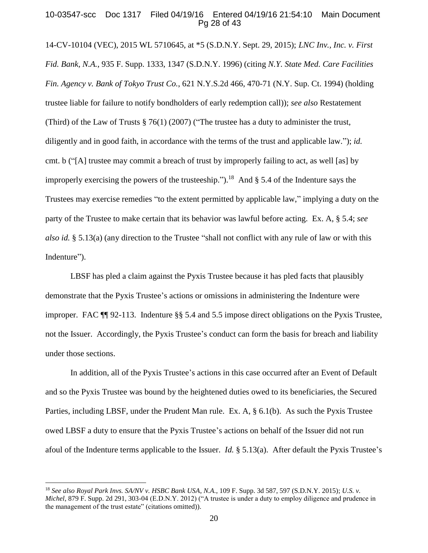## 10-03547-scc Doc 1317 Filed 04/19/16 Entered 04/19/16 21:54:10 Main Document Pg 28 of 43

14-CV-10104 (VEC), 2015 WL 5710645, at \*5 (S.D.N.Y. Sept. 29, 2015); *LNC Inv., Inc. v. First Fid. Bank, N.A.*, 935 F. Supp. 1333, 1347 (S.D.N.Y. 1996) (citing *N.Y. State Med. Care Facilities Fin. Agency v. Bank of Tokyo Trust Co.*, 621 N.Y.S.2d 466, 470-71 (N.Y. Sup. Ct. 1994) (holding trustee liable for failure to notify bondholders of early redemption call)); *see also* Restatement (Third) of the Law of Trusts  $\S 76(1)$  (2007) ("The trustee has a duty to administer the trust, diligently and in good faith, in accordance with the terms of the trust and applicable law."); *id.* cmt. b ("[A] trustee may commit a breach of trust by improperly failing to act, as well [as] by improperly exercising the powers of the trusteeship.").<sup>18</sup> And  $\S$  5.4 of the Indenture says the Trustees may exercise remedies "to the extent permitted by applicable law," implying a duty on the party of the Trustee to make certain that its behavior was lawful before acting. Ex. A, § 5.4; *see also id.* § 5.13(a) (any direction to the Trustee "shall not conflict with any rule of law or with this Indenture").

LBSF has pled a claim against the Pyxis Trustee because it has pled facts that plausibly demonstrate that the Pyxis Trustee's actions or omissions in administering the Indenture were improper. FAC ¶¶ 92-113. Indenture §§ 5.4 and 5.5 impose direct obligations on the Pyxis Trustee, not the Issuer. Accordingly, the Pyxis Trustee's conduct can form the basis for breach and liability under those sections.

In addition, all of the Pyxis Trustee's actions in this case occurred after an Event of Default and so the Pyxis Trustee was bound by the heightened duties owed to its beneficiaries, the Secured Parties, including LBSF, under the Prudent Man rule. Ex. A, § 6.1(b). As such the Pyxis Trustee owed LBSF a duty to ensure that the Pyxis Trustee's actions on behalf of the Issuer did not run afoul of the Indenture terms applicable to the Issuer. *Id.* § 5.13(a). After default the Pyxis Trustee's

<sup>18</sup> *See also Royal Park Invs. SA/NV v. HSBC Bank USA*, *N.A.*, 109 F. Supp. 3d 587, 597 (S.D.N.Y. 2015); *U.S. v. Michel*, 879 F. Supp. 2d 291, 303-04 (E.D.N.Y. 2012) ("A trustee is under a duty to employ diligence and prudence in the management of the trust estate" (citations omitted)).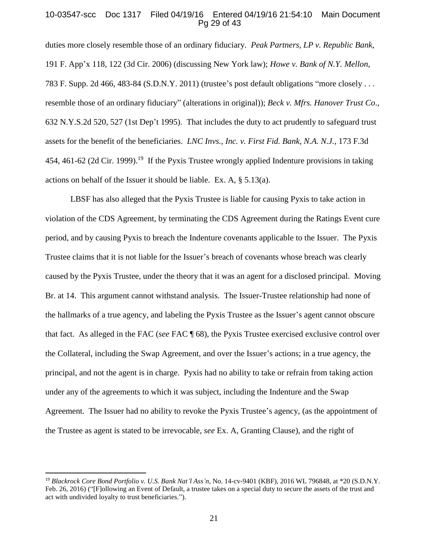### 10-03547-scc Doc 1317 Filed 04/19/16 Entered 04/19/16 21:54:10 Main Document Pg 29 of 43

duties more closely resemble those of an ordinary fiduciary. *Peak Partners, LP v. Republic Bank*, 191 F. App'x 118, 122 (3d Cir. 2006) (discussing New York law); *Howe v. Bank of N.Y. Mellon*, 783 F. Supp. 2d 466, 483-84 (S.D.N.Y. 2011) (trustee's post default obligations "more closely . . . resemble those of an ordinary fiduciary" (alterations in original)); *Beck v. Mfrs. Hanover Trust Co*., 632 N.Y.S.2d 520, 527 (1st Dep't 1995). That includes the duty to act prudently to safeguard trust assets for the benefit of the beneficiaries. *LNC Invs., Inc. v. First Fid. Bank, N.A. N.J.*, 173 F.3d 454, 461-62 (2d Cir. 1999).<sup>19</sup> If the Pyxis Trustee wrongly applied Indenture provisions in taking actions on behalf of the Issuer it should be liable. Ex. A, § 5.13(a).

LBSF has also alleged that the Pyxis Trustee is liable for causing Pyxis to take action in violation of the CDS Agreement, by terminating the CDS Agreement during the Ratings Event cure period, and by causing Pyxis to breach the Indenture covenants applicable to the Issuer. The Pyxis Trustee claims that it is not liable for the Issuer's breach of covenants whose breach was clearly caused by the Pyxis Trustee, under the theory that it was an agent for a disclosed principal. Moving Br. at 14. This argument cannot withstand analysis. The Issuer-Trustee relationship had none of the hallmarks of a true agency, and labeling the Pyxis Trustee as the Issuer's agent cannot obscure that fact. As alleged in the FAC (*see* FAC ¶ 68), the Pyxis Trustee exercised exclusive control over the Collateral, including the Swap Agreement, and over the Issuer's actions; in a true agency, the principal, and not the agent is in charge. Pyxis had no ability to take or refrain from taking action under any of the agreements to which it was subject, including the Indenture and the Swap Agreement. The Issuer had no ability to revoke the Pyxis Trustee's agency, (as the appointment of the Trustee as agent is stated to be irrevocable, *see* Ex. A, Granting Clause), and the right of

<sup>19</sup> *Blackrock Core Bond Portfolio v. U.S. Bank Nat'l Ass'n*, No. 14-cv-9401 (KBF), 2016 WL 796848, at \*20 (S.D.N.Y. Feb. 26, 2016) ("[F]ollowing an Event of Default, a trustee takes on a special duty to secure the assets of the trust and act with undivided loyalty to trust beneficiaries.").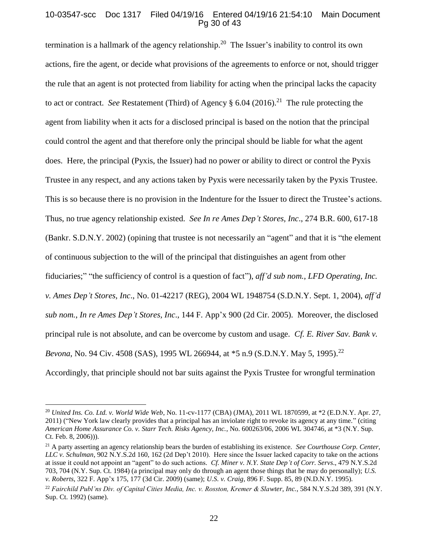# 10-03547-scc Doc 1317 Filed 04/19/16 Entered 04/19/16 21:54:10 Main Document Pg 30 of 43

termination is a hallmark of the agency relationship.<sup>20</sup> The Issuer's inability to control its own actions, fire the agent, or decide what provisions of the agreements to enforce or not, should trigger the rule that an agent is not protected from liability for acting when the principal lacks the capacity to act or contract. *See* Restatement (Third) of Agency § 6.04 (2016). 21 The rule protecting the agent from liability when it acts for a disclosed principal is based on the notion that the principal could control the agent and that therefore only the principal should be liable for what the agent does. Here, the principal (Pyxis, the Issuer) had no power or ability to direct or control the Pyxis Trustee in any respect, and any actions taken by Pyxis were necessarily taken by the Pyxis Trustee. This is so because there is no provision in the Indenture for the Issuer to direct the Trustee's actions. Thus, no true agency relationship existed. *See In re Ames Dep't Stores, Inc*., 274 B.R. 600, 617-18 (Bankr. S.D.N.Y. 2002) (opining that trustee is not necessarily an "agent" and that it is "the element of continuous subjection to the will of the principal that distinguishes an agent from other fiduciaries;" "the sufficiency of control is a question of fact"), *aff'd sub nom.*, *LFD Operating, Inc. v. Ames Dep't Stores, Inc*., No. 01-42217 (REG), 2004 WL 1948754 (S.D.N.Y. Sept. 1, 2004), *aff'd sub nom.*, *In re Ames Dep't Stores, Inc*., 144 F. App'x 900 (2d Cir. 2005). Moreover, the disclosed principal rule is not absolute, and can be overcome by custom and usage. *Cf. E. River Sav. Bank v. Bevona*, No. 94 Civ. 4508 (SAS), 1995 WL 266944, at \*5 n.9 (S.D.N.Y. May 5, 1995).<sup>22</sup> Accordingly, that principle should not bar suits against the Pyxis Trustee for wrongful termination

<sup>20</sup> *United Ins. Co. Ltd. v. World Wide Web*, No. 11-cv-1177 (CBA) (JMA), 2011 WL 1870599, at \*2 (E.D.N.Y. Apr. 27, 2011) ("New York law clearly provides that a principal has an inviolate right to revoke its agency at any time." (citing *American Home Assurance Co. v. Starr Tech. Risks Agency, Inc.*, No. 600263/06, 2006 WL 304746, at \*3 (N.Y. Sup. Ct. Feb. 8, 2006))).

<sup>21</sup> A party asserting an agency relationship bears the burden of establishing its existence. *See Courthouse Corp. Center, LLC v. Schulman*, 902 N.Y.S.2d 160, 162 (2d Dep't 2010). Here since the Issuer lacked capacity to take on the actions at issue it could not appoint an "agent" to do such actions*. Cf. Miner v. N.Y. State Dep't of Corr. Servs*., 479 N.Y.S.2d 703, 704 (N.Y. Sup. Ct. 1984) (a principal may only do through an agent those things that he may do personally); *U.S. v. Roberts*, 322 F. App'x 175, 177 (3d Cir. 2009) (same); *U.S. v. Craig*, 896 F. Supp. 85, 89 (N.D.N.Y. 1995).

<sup>22</sup> *Fairchild Publ'ns Div. of Capital Cities Media, Inc. v. Rosston, Kremer & Slawter, Inc.*, 584 N.Y.S.2d 389, 391 (N.Y. Sup. Ct. 1992) (same).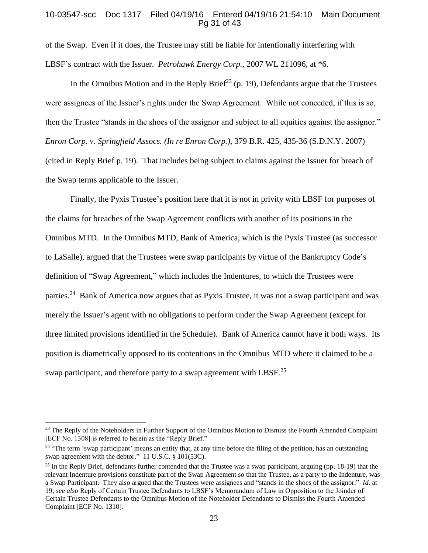## 10-03547-scc Doc 1317 Filed 04/19/16 Entered 04/19/16 21:54:10 Main Document Pg 31 of 43

of the Swap. Even if it does, the Trustee may still be liable for intentionally interfering with LBSF's contract with the Issuer. *Petrohawk Energy Corp.*, 2007 WL 211096, at \*6.

In the Omnibus Motion and in the Reply Brief<sup>23</sup> (p. 19), Defendants argue that the Trustees were assignees of the Issuer's rights under the Swap Agreement. While not conceded, if this is so, then the Trustee "stands in the shoes of the assignor and subject to all equities against the assignor." *Enron Corp. v. Springfield Assocs. (In re Enron Corp.)*, 379 B.R. 425, 435-36 (S.D.N.Y. 2007) (cited in Reply Brief p. 19). That includes being subject to claims against the Issuer for breach of the Swap terms applicable to the Issuer.

Finally, the Pyxis Trustee's position here that it is not in privity with LBSF for purposes of the claims for breaches of the Swap Agreement conflicts with another of its positions in the Omnibus MTD. In the Omnibus MTD, Bank of America, which is the Pyxis Trustee (as successor to LaSalle), argued that the Trustees were swap participants by virtue of the Bankruptcy Code's definition of "Swap Agreement," which includes the Indentures, to which the Trustees were parties.<sup>24</sup> Bank of America now argues that as Pyxis Trustee, it was not a swap participant and was merely the Issuer's agent with no obligations to perform under the Swap Agreement (except for three limited provisions identified in the Schedule). Bank of America cannot have it both ways. Its position is diametrically opposed to its contentions in the Omnibus MTD where it claimed to be a swap participant, and therefore party to a swap agreement with LBSF.<sup>25</sup>

<sup>&</sup>lt;sup>23</sup> The Reply of the Noteholders in Further Support of the Omnibus Motion to Dismiss the Fourth Amended Complaint [ECF No. 1308] is referred to herein as the "Reply Brief."

<sup>&</sup>lt;sup>24</sup> "The term 'swap participant' means an entity that, at any time before the filing of the petition, has an outstanding swap agreement with the debtor." 11 U.S.C. § 101(53C).

 $25$  In the Reply Brief, defendants further contended that the Trustee was a swap participant, arguing (pp. 18-19) that the relevant Indenture provisions constitute part of the Swap Agreement so that the Trustee, as a party to the Indenture, was a Swap Participant. They also argued that the Trustees were assignees and "stands in the shoes of the assignor." *Id.* at 19; *see also* Reply of Certain Trustee Defendants to LBSF's Memorandum of Law in Opposition to the Joinder of Certain Trustee Defendants to the Omnibus Motion of the Noteholder Defendants to Dismiss the Fourth Amended Complaint [ECF No. 1310].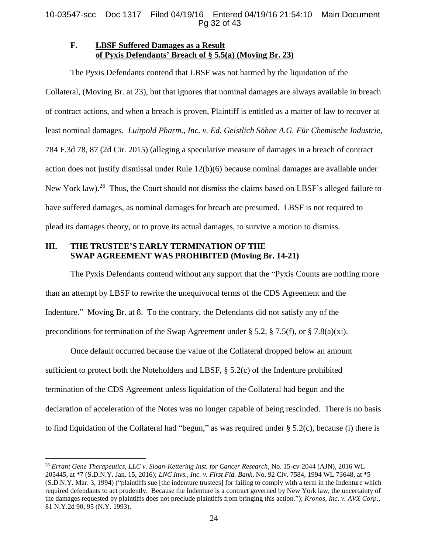# **F. LBSF Suffered Damages as a Result of Pyxis Defendants' Breach of § 5.5(a) (Moving Br. 23)**

The Pyxis Defendants contend that LBSF was not harmed by the liquidation of the Collateral, (Moving Br. at 23), but that ignores that nominal damages are always available in breach of contract actions, and when a breach is proven, Plaintiff is entitled as a matter of law to recover at least nominal damages. *Luitpold Pharm., Inc. v. Ed. Geistlich Söhne A.G. Für Chemische Industrie*, 784 F.3d 78, 87 (2d Cir. 2015) (alleging a speculative measure of damages in a breach of contract action does not justify dismissal under Rule 12(b)(6) because nominal damages are available under New York law).<sup>26</sup> Thus, the Court should not dismiss the claims based on LBSF's alleged failure to have suffered damages, as nominal damages for breach are presumed. LBSF is not required to plead its damages theory, or to prove its actual damages, to survive a motion to dismiss.

# **III. THE TRUSTEE'S EARLY TERMINATION OF THE SWAP AGREEMENT WAS PROHIBITED (Moving Br. 14-21)**

The Pyxis Defendants contend without any support that the "Pyxis Counts are nothing more than an attempt by LBSF to rewrite the unequivocal terms of the CDS Agreement and the Indenture." Moving Br. at 8. To the contrary, the Defendants did not satisfy any of the preconditions for termination of the Swap Agreement under  $\S 5.2$ ,  $\S 7.5(f)$ , or  $\S 7.8(a)(xi)$ .

Once default occurred because the value of the Collateral dropped below an amount sufficient to protect both the Noteholders and LBSF,  $\S$  5.2(c) of the Indenture prohibited termination of the CDS Agreement unless liquidation of the Collateral had begun and the declaration of acceleration of the Notes was no longer capable of being rescinded. There is no basis to find liquidation of the Collateral had "begun," as was required under  $\S$  5.2(c), because (i) there is

 $\overline{a}$ <sup>26</sup> *Errant Gene Therapeutics, LLC v. Sloan-Kettering Inst. for Cancer Research*, No. 15-cv-2044 (AJN), 2016 WL 205445, at \*7 (S.D.N.Y. Jan. 15, 2016); *LNC Invs., Inc. v. First Fid. Bank*, No. 92 Civ. 7584, 1994 WL 73648, at \*5 (S.D.N.Y. Mar. 3, 1994) ("plaintiffs sue [the indenture trustees] for failing to comply with a term in the Indenture which required defendants to act prudently. Because the Indenture is a contract governed by New York law, the uncertainty of the damages requested by plaintiffs does not preclude plaintiffs from bringing this action*.*"); *Kronos, Inc. v. AVX Corp*., 81 N.Y.2d 90, 95 (N.Y. 1993).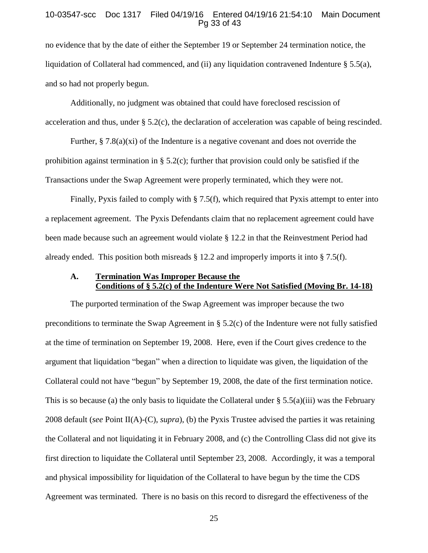### 10-03547-scc Doc 1317 Filed 04/19/16 Entered 04/19/16 21:54:10 Main Document Pg 33 of 43

no evidence that by the date of either the September 19 or September 24 termination notice, the liquidation of Collateral had commenced, and (ii) any liquidation contravened Indenture  $\S 5.5(a)$ , and so had not properly begun.

Additionally, no judgment was obtained that could have foreclosed rescission of acceleration and thus, under § 5.2(c), the declaration of acceleration was capable of being rescinded.

Further,  $\S 7.8(a)(xi)$  of the Indenture is a negative covenant and does not override the prohibition against termination in § 5.2(c); further that provision could only be satisfied if the Transactions under the Swap Agreement were properly terminated, which they were not.

Finally, Pyxis failed to comply with § 7.5(f), which required that Pyxis attempt to enter into a replacement agreement. The Pyxis Defendants claim that no replacement agreement could have been made because such an agreement would violate § 12.2 in that the Reinvestment Period had already ended. This position both misreads § 12.2 and improperly imports it into § 7.5(f).

# **A. Termination Was Improper Because the Conditions of § 5.2(c) of the Indenture Were Not Satisfied (Moving Br. 14-18)**

The purported termination of the Swap Agreement was improper because the two preconditions to terminate the Swap Agreement in § 5.2(c) of the Indenture were not fully satisfied at the time of termination on September 19, 2008. Here, even if the Court gives credence to the argument that liquidation "began" when a direction to liquidate was given, the liquidation of the Collateral could not have "begun" by September 19, 2008, the date of the first termination notice. This is so because (a) the only basis to liquidate the Collateral under  $\S 5.5(a)(iii)$  was the February 2008 default (*see* Point II(A)-(C), *supra*), (b) the Pyxis Trustee advised the parties it was retaining the Collateral and not liquidating it in February 2008, and (c) the Controlling Class did not give its first direction to liquidate the Collateral until September 23, 2008. Accordingly, it was a temporal and physical impossibility for liquidation of the Collateral to have begun by the time the CDS Agreement was terminated. There is no basis on this record to disregard the effectiveness of the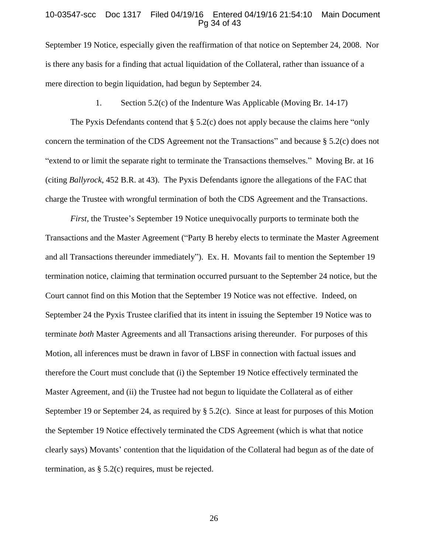#### 10-03547-scc Doc 1317 Filed 04/19/16 Entered 04/19/16 21:54:10 Main Document Pg 34 of 43

September 19 Notice, especially given the reaffirmation of that notice on September 24, 2008. Nor is there any basis for a finding that actual liquidation of the Collateral, rather than issuance of a mere direction to begin liquidation, had begun by September 24.

### 1. Section 5.2(c) of the Indenture Was Applicable (Moving Br. 14-17)

The Pyxis Defendants contend that  $\S$  5.2(c) does not apply because the claims here "only concern the termination of the CDS Agreement not the Transactions" and because § 5.2(c) does not "extend to or limit the separate right to terminate the Transactions themselves." Moving Br. at 16 (citing *Ballyrock*, 452 B.R. at 43). The Pyxis Defendants ignore the allegations of the FAC that charge the Trustee with wrongful termination of both the CDS Agreement and the Transactions.

*First*, the Trustee's September 19 Notice unequivocally purports to terminate both the Transactions and the Master Agreement ("Party B hereby elects to terminate the Master Agreement and all Transactions thereunder immediately"). Ex. H. Movants fail to mention the September 19 termination notice, claiming that termination occurred pursuant to the September 24 notice, but the Court cannot find on this Motion that the September 19 Notice was not effective. Indeed, on September 24 the Pyxis Trustee clarified that its intent in issuing the September 19 Notice was to terminate *both* Master Agreements and all Transactions arising thereunder. For purposes of this Motion, all inferences must be drawn in favor of LBSF in connection with factual issues and therefore the Court must conclude that (i) the September 19 Notice effectively terminated the Master Agreement, and (ii) the Trustee had not begun to liquidate the Collateral as of either September 19 or September 24, as required by  $\S$  5.2(c). Since at least for purposes of this Motion the September 19 Notice effectively terminated the CDS Agreement (which is what that notice clearly says) Movants' contention that the liquidation of the Collateral had begun as of the date of termination, as  $\S$  5.2(c) requires, must be rejected.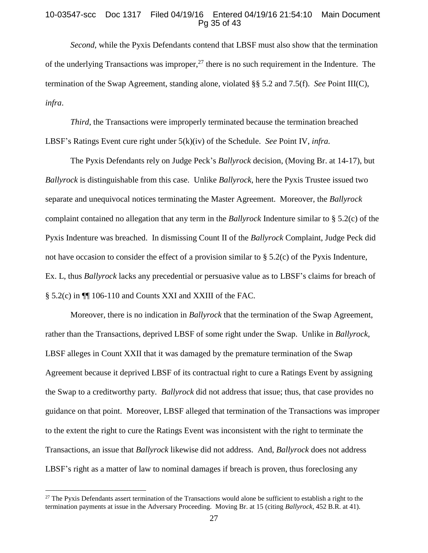### 10-03547-scc Doc 1317 Filed 04/19/16 Entered 04/19/16 21:54:10 Main Document Pg 35 of 43

*Second*, while the Pyxis Defendants contend that LBSF must also show that the termination of the underlying Transactions was improper,<sup>27</sup> there is no such requirement in the Indenture. The termination of the Swap Agreement, standing alone, violated §§ 5.2 and 7.5(f). *See* Point III(C), *infra*.

*Third*, the Transactions were improperly terminated because the termination breached LBSF's Ratings Event cure right under 5(k)(iv) of the Schedule. *See* Point IV, *infra.*

The Pyxis Defendants rely on Judge Peck's *Ballyrock* decision, (Moving Br. at 14-17), but *Ballyrock* is distinguishable from this case. Unlike *Ballyrock,* here the Pyxis Trustee issued two separate and unequivocal notices terminating the Master Agreement. Moreover, the *Ballyrock* complaint contained no allegation that any term in the *Ballyrock* Indenture similar to § 5.2(c) of the Pyxis Indenture was breached. In dismissing Count II of the *Ballyrock* Complaint, Judge Peck did not have occasion to consider the effect of a provision similar to § 5.2(c) of the Pyxis Indenture, Ex. L, thus *Ballyrock* lacks any precedential or persuasive value as to LBSF's claims for breach of § 5.2(c) in  $\P$ [ 106-110 and Counts XXI and XXIII of the FAC.

Moreover, there is no indication in *Ballyrock* that the termination of the Swap Agreement, rather than the Transactions, deprived LBSF of some right under the Swap. Unlike in *Ballyrock*, LBSF alleges in Count XXII that it was damaged by the premature termination of the Swap Agreement because it deprived LBSF of its contractual right to cure a Ratings Event by assigning the Swap to a creditworthy party. *Ballyrock* did not address that issue; thus, that case provides no guidance on that point. Moreover, LBSF alleged that termination of the Transactions was improper to the extent the right to cure the Ratings Event was inconsistent with the right to terminate the Transactions, an issue that *Ballyrock* likewise did not address. And, *Ballyrock* does not address LBSF's right as a matter of law to nominal damages if breach is proven, thus foreclosing any

<sup>&</sup>lt;sup>27</sup> The Pyxis Defendants assert termination of the Transactions would alone be sufficient to establish a right to the termination payments at issue in the Adversary Proceeding. Moving Br. at 15 (citing *Ballyrock*, 452 B.R. at 41).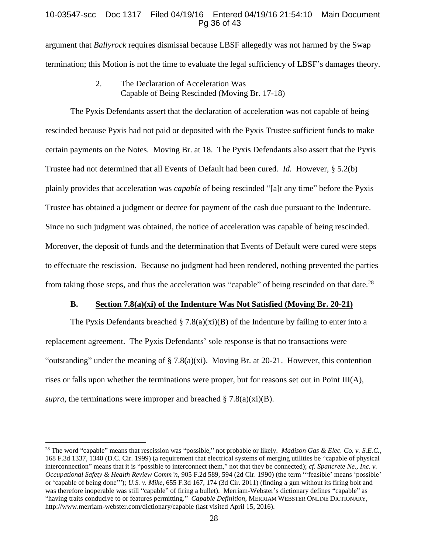# 10-03547-scc Doc 1317 Filed 04/19/16 Entered 04/19/16 21:54:10 Main Document Pg 36 of 43

argument that *Ballyrock* requires dismissal because LBSF allegedly was not harmed by the Swap termination; this Motion is not the time to evaluate the legal sufficiency of LBSF's damages theory.

> 2. The Declaration of Acceleration Was Capable of Being Rescinded (Moving Br. 17-18)

The Pyxis Defendants assert that the declaration of acceleration was not capable of being rescinded because Pyxis had not paid or deposited with the Pyxis Trustee sufficient funds to make certain payments on the Notes. Moving Br. at 18. The Pyxis Defendants also assert that the Pyxis Trustee had not determined that all Events of Default had been cured. *Id.* However, § 5.2(b) plainly provides that acceleration was *capable o*f being rescinded "[a]t any time" before the Pyxis Trustee has obtained a judgment or decree for payment of the cash due pursuant to the Indenture. Since no such judgment was obtained, the notice of acceleration was capable of being rescinded. Moreover, the deposit of funds and the determination that Events of Default were cured were steps to effectuate the rescission. Because no judgment had been rendered, nothing prevented the parties from taking those steps, and thus the acceleration was "capable" of being rescinded on that date.<sup>28</sup>

### **B. Section 7.8(a)(xi) of the Indenture Was Not Satisfied (Moving Br. 20-21)**

The Pyxis Defendants breached  $\S$  7.8(a)(xi)(B) of the Indenture by failing to enter into a replacement agreement. The Pyxis Defendants' sole response is that no transactions were "outstanding" under the meaning of  $\S 7.8(a)(xi)$ . Moving Br. at 20-21. However, this contention rises or falls upon whether the terminations were proper, but for reasons set out in Point III(A), *supra*, the terminations were improper and breached  $\S 7.8(a)(xi)(B)$ .

<sup>28</sup> The word "capable" means that rescission was "possible," not probable or likely. *Madison Gas & Elec. Co. v. S.E.C.*, 168 F.3d 1337, 1340 (D.C. Cir. 1999) (a requirement that electrical systems of merging utilities be "capable of physical interconnection" means that it is "possible to interconnect them," not that they be connected); *cf. Spancrete Ne., Inc. v. Occupational Safety & Health Review Comm'n*, 905 F.2d 589, 594 (2d Cir. 1990) (the term "'feasible' means 'possible' or 'capable of being done'"); *U.S. v. Mike*, 655 F.3d 167, 174 (3d Cir. 2011) (finding a gun without its firing bolt and was therefore inoperable was still "capable" of firing a bullet). Merriam-Webster's dictionary defines "capable" as "having traits conducive to or features permitting." *Capable Definition*, MERRIAM WEBSTER ONLINE DICTIONARY, http://www.merriam-webster.com/dictionary/capable (last visited April 15, 2016).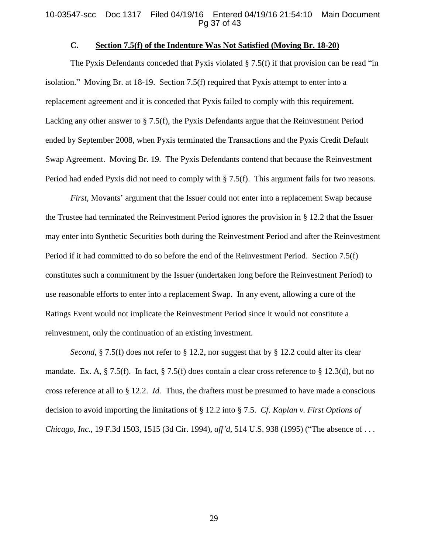#### 10-03547-scc Doc 1317 Filed 04/19/16 Entered 04/19/16 21:54:10 Main Document Pg 37 of 43

### **C. Section 7.5(f) of the Indenture Was Not Satisfied (Moving Br. 18-20)**

The Pyxis Defendants conceded that Pyxis violated  $\S 7.5(f)$  if that provision can be read "in" isolation." Moving Br. at 18-19. Section 7.5(f) required that Pyxis attempt to enter into a replacement agreement and it is conceded that Pyxis failed to comply with this requirement. Lacking any other answer to § 7.5(f), the Pyxis Defendants argue that the Reinvestment Period ended by September 2008, when Pyxis terminated the Transactions and the Pyxis Credit Default Swap Agreement. Moving Br. 19. The Pyxis Defendants contend that because the Reinvestment Period had ended Pyxis did not need to comply with § 7.5(f). This argument fails for two reasons.

*First,* Movants' argument that the Issuer could not enter into a replacement Swap because the Trustee had terminated the Reinvestment Period ignores the provision in § 12.2 that the Issuer may enter into Synthetic Securities both during the Reinvestment Period and after the Reinvestment Period if it had committed to do so before the end of the Reinvestment Period. Section 7.5(f) constitutes such a commitment by the Issuer (undertaken long before the Reinvestment Period) to use reasonable efforts to enter into a replacement Swap. In any event, allowing a cure of the Ratings Event would not implicate the Reinvestment Period since it would not constitute a reinvestment, only the continuation of an existing investment.

*Second*, § 7.5(f) does not refer to § 12.2, nor suggest that by § 12.2 could alter its clear mandate. Ex. A, § 7.5(f). In fact, § 7.5(f) does contain a clear cross reference to § 12.3(d), but no cross reference at all to § 12.2. *Id.* Thus, the drafters must be presumed to have made a conscious decision to avoid importing the limitations of § 12.2 into § 7.5. *Cf. Kaplan v. First Options of Chicago, Inc.*, 19 F.3d 1503, 1515 (3d Cir. 1994), *aff'd*, 514 U.S. 938 (1995) ("The absence of . . .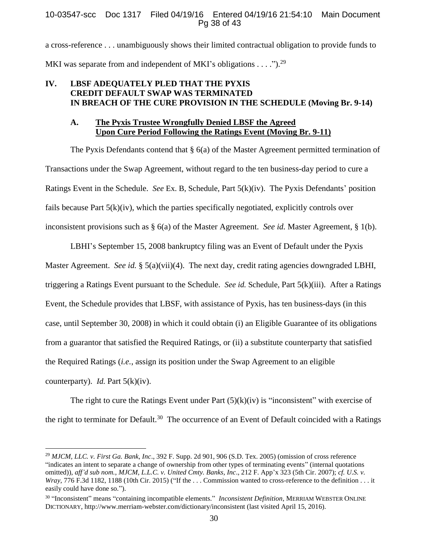## 10-03547-scc Doc 1317 Filed 04/19/16 Entered 04/19/16 21:54:10 Main Document Pg 38 of 43

a cross-reference . . . unambiguously shows their limited contractual obligation to provide funds to MKI was separate from and independent of MKI's obligations  $\dots$ ").<sup>29</sup>

# **IV. LBSF ADEQUATELY PLED THAT THE PYXIS CREDIT DEFAULT SWAP WAS TERMINATED IN BREACH OF THE CURE PROVISION IN THE SCHEDULE (Moving Br. 9-14)**

# **A. The Pyxis Trustee Wrongfully Denied LBSF the Agreed Upon Cure Period Following the Ratings Event (Moving Br. 9-11)**

The Pyxis Defendants contend that § 6(a) of the Master Agreement permitted termination of Transactions under the Swap Agreement, without regard to the ten business-day period to cure a Ratings Event in the Schedule. *See* Ex. B, Schedule, Part 5(k)(iv). The Pyxis Defendants' position fails because Part 5(k)(iv), which the parties specifically negotiated, explicitly controls over inconsistent provisions such as § 6(a) of the Master Agreement. *See id.* Master Agreement, § 1(b).

LBHI's September 15, 2008 bankruptcy filing was an Event of Default under the Pyxis Master Agreement. *See id.* § 5(a)(vii)(4). The next day, credit rating agencies downgraded LBHI, triggering a Ratings Event pursuant to the Schedule. *See id.* Schedule, Part 5(k)(iii). After a Ratings Event, the Schedule provides that LBSF, with assistance of Pyxis, has ten business-days (in this case, until September 30, 2008) in which it could obtain (i) an Eligible Guarantee of its obligations from a guarantor that satisfied the Required Ratings, or (ii) a substitute counterparty that satisfied the Required Ratings (*i.e.*, assign its position under the Swap Agreement to an eligible counterparty). *Id.* Part 5(k)(iv).

The right to cure the Ratings Event under Part  $(5)(k)(iv)$  is "inconsistent" with exercise of the right to terminate for Default.<sup>30</sup> The occurrence of an Event of Default coincided with a Ratings

<sup>29</sup> *MJCM, LLC. v. First Ga. Bank, Inc*., 392 F. Supp. 2d 901, 906 (S.D. Tex. 2005) (omission of cross reference "indicates an intent to separate a change of ownership from other types of terminating events" (internal quotations omitted)), *aff'd sub nom.*, *MJCM, L.L.C. v. United Cmty. Banks, Inc*., 212 F. App'x 323 (5th Cir. 2007); *cf. U.S. v. Wray*, 776 F.3d 1182, 1188 (10th Cir. 2015) ("If the . . . Commission wanted to cross-reference to the definition . . . it easily could have done so.").

<sup>30</sup> "Inconsistent" means "containing incompatible elements." *Inconsistent Definition*, MERRIAM WEBSTER ONLINE DICTIONARY, http://www.merriam-webster.com/dictionary/inconsistent (last visited April 15, 2016).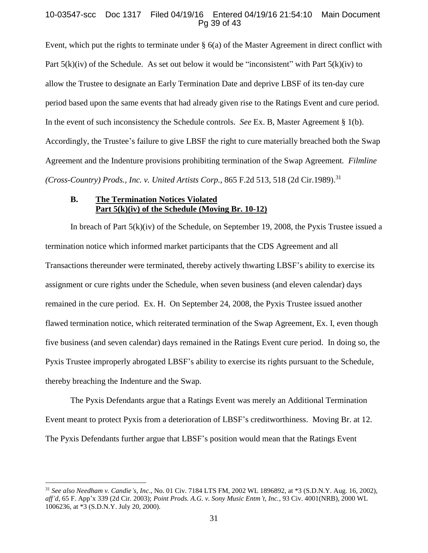### 10-03547-scc Doc 1317 Filed 04/19/16 Entered 04/19/16 21:54:10 Main Document Pg 39 of 43

Event, which put the rights to terminate under § 6(a) of the Master Agreement in direct conflict with Part  $5(k)(iv)$  of the Schedule. As set out below it would be "inconsistent" with Part  $5(k)(iv)$  to allow the Trustee to designate an Early Termination Date and deprive LBSF of its ten-day cure period based upon the same events that had already given rise to the Ratings Event and cure period. In the event of such inconsistency the Schedule controls. *See* Ex. B, Master Agreement § 1(b). Accordingly, the Trustee's failure to give LBSF the right to cure materially breached both the Swap Agreement and the Indenture provisions prohibiting termination of the Swap Agreement*. Filmline (Cross-Country) Prods., Inc. v. United Artists Corp.*, 865 F.2d 513, 518 (2d Cir.1989). 31

# **B. The Termination Notices Violated Part 5(k)(iv) of the Schedule (Moving Br. 10-12)**

In breach of Part 5(k)(iv) of the Schedule, on September 19, 2008, the Pyxis Trustee issued a termination notice which informed market participants that the CDS Agreement and all Transactions thereunder were terminated, thereby actively thwarting LBSF's ability to exercise its assignment or cure rights under the Schedule, when seven business (and eleven calendar) days remained in the cure period. Ex. H. On September 24, 2008, the Pyxis Trustee issued another flawed termination notice, which reiterated termination of the Swap Agreement, Ex. I, even though five business (and seven calendar) days remained in the Ratings Event cure period. In doing so, the Pyxis Trustee improperly abrogated LBSF's ability to exercise its rights pursuant to the Schedule, thereby breaching the Indenture and the Swap.

The Pyxis Defendants argue that a Ratings Event was merely an Additional Termination Event meant to protect Pyxis from a deterioration of LBSF's creditworthiness. Moving Br. at 12. The Pyxis Defendants further argue that LBSF's position would mean that the Ratings Event

<sup>31</sup> *See also Needham v. Candie's, Inc*., No. 01 Civ. 7184 LTS FM, 2002 WL 1896892, at \*3 (S.D.N.Y. Aug. 16, 2002), *aff'd*, 65 F. App'x 339 (2d Cir. 2003); *Point Prods. A.G. v. Sony Music Entm't, Inc.*, 93 Civ. 4001(NRB), 2000 WL 1006236, at \*3 (S.D.N.Y. July 20, 2000).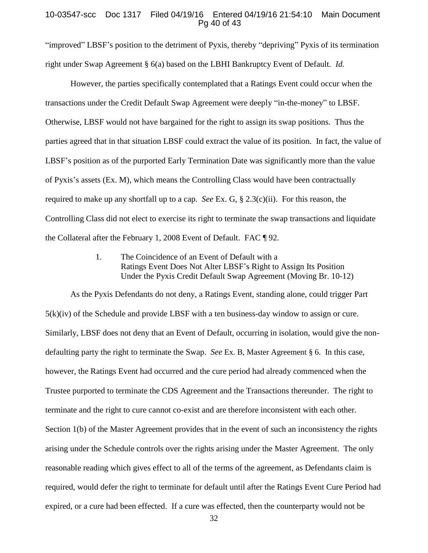#### 10-03547-scc Doc 1317 Filed 04/19/16 Entered 04/19/16 21:54:10 Main Document Pg 40 of 43

"improved" LBSF's position to the detriment of Pyxis, thereby "depriving" Pyxis of its termination right under Swap Agreement § 6(a) based on the LBHI Bankruptcy Event of Default. *Id.*

However, the parties specifically contemplated that a Ratings Event could occur when the transactions under the Credit Default Swap Agreement were deeply "in-the-money" to LBSF. Otherwise, LBSF would not have bargained for the right to assign its swap positions. Thus the parties agreed that in that situation LBSF could extract the value of its position. In fact, the value of LBSF's position as of the purported Early Termination Date was significantly more than the value of Pyxis's assets (Ex. M), which means the Controlling Class would have been contractually required to make up any shortfall up to a cap. *See* Ex. G, § 2.3(c)(ii). For this reason, the Controlling Class did not elect to exercise its right to terminate the swap transactions and liquidate the Collateral after the February 1, 2008 Event of Default. FAC ¶ 92.

> 1. The Coincidence of an Event of Default with a Ratings Event Does Not Alter LBSF's Right to Assign Its Position Under the Pyxis Credit Default Swap Agreement (Moving Br. 10-12)

As the Pyxis Defendants do not deny, a Ratings Event, standing alone, could trigger Part  $5(k)(iv)$  of the Schedule and provide LBSF with a ten business-day window to assign or cure. Similarly, LBSF does not deny that an Event of Default, occurring in isolation, would give the nondefaulting party the right to terminate the Swap. *See* Ex. B, Master Agreement § 6. In this case, however, the Ratings Event had occurred and the cure period had already commenced when the Trustee purported to terminate the CDS Agreement and the Transactions thereunder. The right to terminate and the right to cure cannot co-exist and are therefore inconsistent with each other. Section 1(b) of the Master Agreement provides that in the event of such an inconsistency the rights arising under the Schedule controls over the rights arising under the Master Agreement. The only reasonable reading which gives effect to all of the terms of the agreement, as Defendants claim is required, would defer the right to terminate for default until after the Ratings Event Cure Period had expired, or a cure had been effected. If a cure was effected, then the counterparty would not be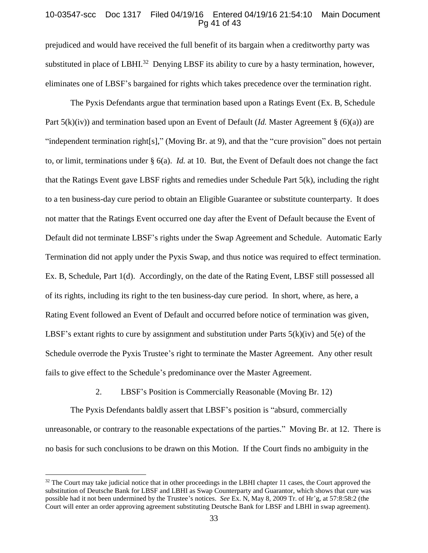#### 10-03547-scc Doc 1317 Filed 04/19/16 Entered 04/19/16 21:54:10 Main Document Pg 41 of 43

prejudiced and would have received the full benefit of its bargain when a creditworthy party was substituted in place of LBHI.<sup>32</sup> Denying LBSF its ability to cure by a hasty termination, however, eliminates one of LBSF's bargained for rights which takes precedence over the termination right.

The Pyxis Defendants argue that termination based upon a Ratings Event (Ex. B, Schedule Part 5(k)(iv)) and termination based upon an Event of Default (*Id.* Master Agreement § (6)(a)) are "independent termination right[s]," (Moving Br. at 9), and that the "cure provision" does not pertain to, or limit, terminations under § 6(a). *Id.* at 10. But, the Event of Default does not change the fact that the Ratings Event gave LBSF rights and remedies under Schedule Part 5(k), including the right to a ten business-day cure period to obtain an Eligible Guarantee or substitute counterparty. It does not matter that the Ratings Event occurred one day after the Event of Default because the Event of Default did not terminate LBSF's rights under the Swap Agreement and Schedule. Automatic Early Termination did not apply under the Pyxis Swap, and thus notice was required to effect termination. Ex. B, Schedule, Part 1(d). Accordingly, on the date of the Rating Event, LBSF still possessed all of its rights, including its right to the ten business-day cure period. In short, where, as here, a Rating Event followed an Event of Default and occurred before notice of termination was given, LBSF's extant rights to cure by assignment and substitution under Parts  $5(k)(iv)$  and  $5(e)$  of the Schedule overrode the Pyxis Trustee's right to terminate the Master Agreement. Any other result fails to give effect to the Schedule's predominance over the Master Agreement.

2. LBSF's Position is Commercially Reasonable (Moving Br. 12)

The Pyxis Defendants baldly assert that LBSF's position is "absurd, commercially unreasonable, or contrary to the reasonable expectations of the parties." Moving Br. at 12. There is no basis for such conclusions to be drawn on this Motion. If the Court finds no ambiguity in the

<sup>&</sup>lt;sup>32</sup> The Court may take judicial notice that in other proceedings in the LBHI chapter 11 cases, the Court approved the substitution of Deutsche Bank for LBSF and LBHI as Swap Counterparty and Guarantor, which shows that cure was possible had it not been undermined by the Trustee's notices. *See* Ex. N, May 8, 2009 Tr. of Hr'g, at 57:8:58:2 (the Court will enter an order approving agreement substituting Deutsche Bank for LBSF and LBHI in swap agreement).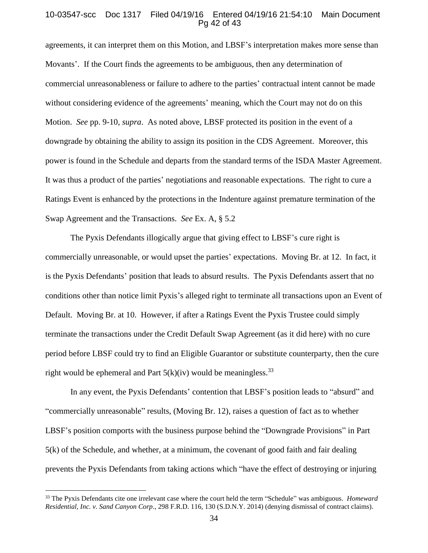#### 10-03547-scc Doc 1317 Filed 04/19/16 Entered 04/19/16 21:54:10 Main Document Pg 42 of 43

agreements, it can interpret them on this Motion, and LBSF's interpretation makes more sense than Movants'. If the Court finds the agreements to be ambiguous, then any determination of commercial unreasonableness or failure to adhere to the parties' contractual intent cannot be made without considering evidence of the agreements' meaning, which the Court may not do on this Motion. *See* pp. 9-10, *supra*. As noted above, LBSF protected its position in the event of a downgrade by obtaining the ability to assign its position in the CDS Agreement. Moreover, this power is found in the Schedule and departs from the standard terms of the ISDA Master Agreement. It was thus a product of the parties' negotiations and reasonable expectations. The right to cure a Ratings Event is enhanced by the protections in the Indenture against premature termination of the Swap Agreement and the Transactions. *See* Ex. A, § 5.2

The Pyxis Defendants illogically argue that giving effect to LBSF's cure right is commercially unreasonable, or would upset the parties' expectations. Moving Br. at 12. In fact, it is the Pyxis Defendants' position that leads to absurd results. The Pyxis Defendants assert that no conditions other than notice limit Pyxis's alleged right to terminate all transactions upon an Event of Default. Moving Br. at 10. However, if after a Ratings Event the Pyxis Trustee could simply terminate the transactions under the Credit Default Swap Agreement (as it did here) with no cure period before LBSF could try to find an Eligible Guarantor or substitute counterparty, then the cure right would be ephemeral and Part  $5(k)(iv)$  would be meaningless.<sup>33</sup>

In any event, the Pyxis Defendants' contention that LBSF's position leads to "absurd" and "commercially unreasonable" results, (Moving Br. 12), raises a question of fact as to whether LBSF's position comports with the business purpose behind the "Downgrade Provisions" in Part 5(k) of the Schedule, and whether, at a minimum, the covenant of good faith and fair dealing prevents the Pyxis Defendants from taking actions which "have the effect of destroying or injuring

<sup>33</sup> The Pyxis Defendants cite one irrelevant case where the court held the term "Schedule" was ambiguous. *Homeward Residential, Inc. v. Sand Canyon Corp*., 298 F.R.D. 116, 130 (S.D.N.Y. 2014) (denying dismissal of contract claims).